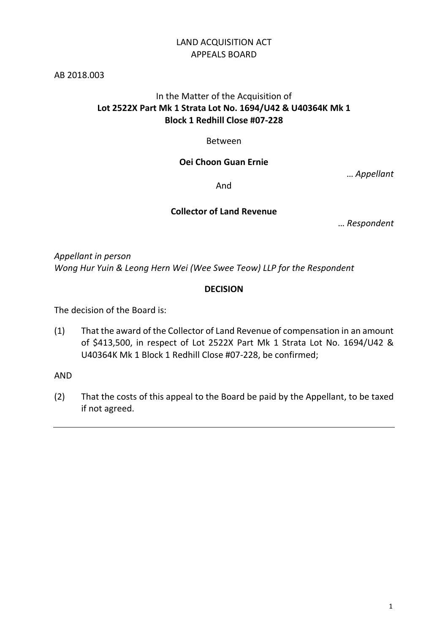# LAND ACQUISITION ACT APPEALS BOARD

AB 2018.003

# In the Matter of the Acquisition of Lot 2522X Part Mk 1 Strata Lot No. 1694/U42 & U40364K Mk 1 Block 1 Redhill Close #07-228

Between

## Oei Choon Guan Ernie

… Appellant

And

# Collector of Land Revenue

… Respondent

Appellant in person Wong Hur Yuin & Leong Hern Wei (Wee Swee Teow) LLP for the Respondent

## **DECISION**

The decision of the Board is:

(1) That the award of the Collector of Land Revenue of compensation in an amount of \$413,500, in respect of Lot 2522X Part Mk 1 Strata Lot No. 1694/U42 & U40364K Mk 1 Block 1 Redhill Close #07-228, be confirmed;

# AND

(2) That the costs of this appeal to the Board be paid by the Appellant, to be taxed if not agreed.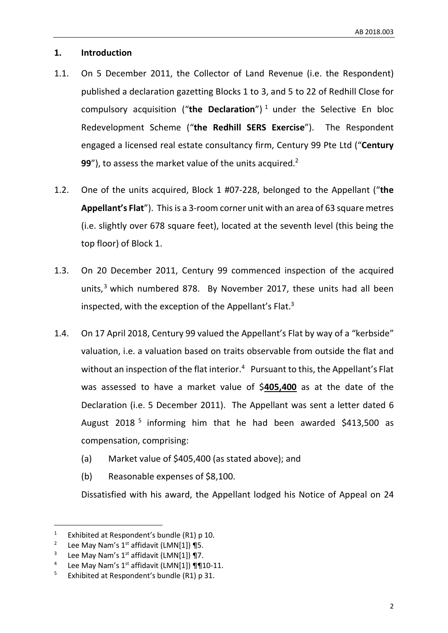#### 1. Introduction

- 1.1. On 5 December 2011, the Collector of Land Revenue (i.e. the Respondent) published a declaration gazetting Blocks 1 to 3, and 5 to 22 of Redhill Close for compulsory acquisition ("the Declaration")<sup>1</sup> under the Selective En bloc Redevelopment Scheme ("the Redhill SERS Exercise"). The Respondent engaged a licensed real estate consultancy firm, Century 99 Pte Ltd ("Century 99"), to assess the market value of the units acquired. $2$
- 1.2. One of the units acquired, Block 1 #07-228, belonged to the Appellant ("the Appellant's Flat"). This is a 3-room corner unit with an area of 63 square metres (i.e. slightly over 678 square feet), located at the seventh level (this being the top floor) of Block 1.
- 1.3. On 20 December 2011, Century 99 commenced inspection of the acquired units,<sup>3</sup> which numbered 878. By November 2017, these units had all been inspected, with the exception of the Appellant's Flat. $3$
- 1.4. On 17 April 2018, Century 99 valued the Appellant's Flat by way of a "kerbside" valuation, i.e. a valuation based on traits observable from outside the flat and without an inspection of the flat interior.<sup>4</sup> Pursuant to this, the Appellant's Flat was assessed to have a market value of \$405,400 as at the date of the Declaration (i.e. 5 December 2011). The Appellant was sent a letter dated 6 August 2018<sup>5</sup> informing him that he had been awarded \$413,500 as compensation, comprising:
	- (a) Market value of \$405,400 (as stated above); and
	- (b) Reasonable expenses of \$8,100.

Dissatisfied with his award, the Appellant lodged his Notice of Appeal on 24

<sup>1</sup> Exhibited at Respondent's bundle (R1) p 10.

<sup>2</sup> Lee May Nam's  $1<sup>st</sup>$  affidavit (LMN[1]) ¶5.

<sup>3</sup> Lee May Nam's  $1<sup>st</sup>$  affidavit (LMN[1]) ¶7.

<sup>4</sup> Lee May Nam's  $1^{st}$  affidavit (LMN[1])  $\P\P10-11$ .

<sup>5</sup> Exhibited at Respondent's bundle (R1) p 31.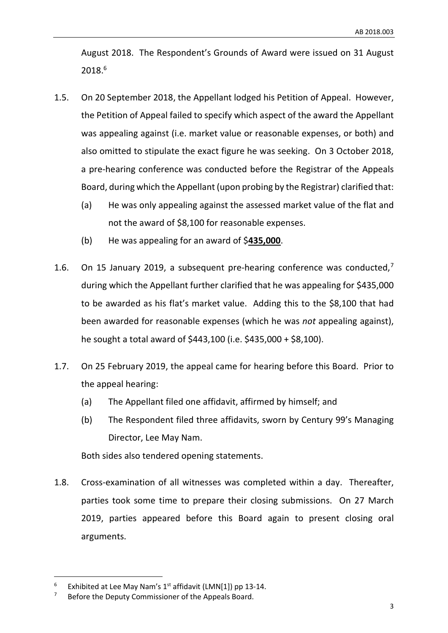August 2018. The Respondent's Grounds of Award were issued on 31 August  $2018.<sup>6</sup>$ 

- 1.5. On 20 September 2018, the Appellant lodged his Petition of Appeal. However, the Petition of Appeal failed to specify which aspect of the award the Appellant was appealing against (i.e. market value or reasonable expenses, or both) and also omitted to stipulate the exact figure he was seeking. On 3 October 2018, a pre-hearing conference was conducted before the Registrar of the Appeals Board, during which the Appellant (upon probing by the Registrar) clarified that:
	- (a) He was only appealing against the assessed market value of the flat and not the award of \$8,100 for reasonable expenses.
	- (b) He was appealing for an award of  $$435,000$ .
- 1.6. On 15 January 2019, a subsequent pre-hearing conference was conducted.<sup>7</sup> during which the Appellant further clarified that he was appealing for \$435,000 to be awarded as his flat's market value. Adding this to the \$8,100 that had been awarded for reasonable expenses (which he was not appealing against), he sought a total award of \$443,100 (i.e. \$435,000 + \$8,100).
- 1.7. On 25 February 2019, the appeal came for hearing before this Board. Prior to the appeal hearing:
	- (a) The Appellant filed one affidavit, affirmed by himself; and
	- (b) The Respondent filed three affidavits, sworn by Century 99's Managing Director, Lee May Nam.

Both sides also tendered opening statements.

1.8. Cross-examination of all witnesses was completed within a day. Thereafter, parties took some time to prepare their closing submissions. On 27 March 2019, parties appeared before this Board again to present closing oral arguments.

<sup>6</sup> Exhibited at Lee May Nam's  $1<sup>st</sup>$  affidavit (LMN[1]) pp 13-14.

<sup>7</sup> Before the Deputy Commissioner of the Appeals Board.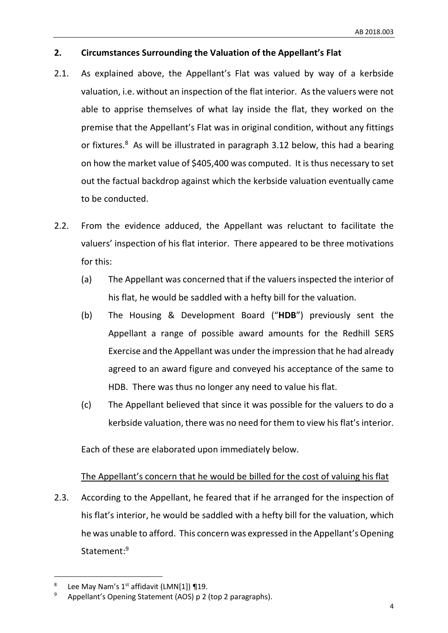#### 2. Circumstances Surrounding the Valuation of the Appellant's Flat

- 2.1. As explained above, the Appellant's Flat was valued by way of a kerbside valuation, i.e. without an inspection of the flat interior. As the valuers were not able to apprise themselves of what lay inside the flat, they worked on the premise that the Appellant's Flat was in original condition, without any fittings or fixtures.<sup>8</sup> As will be illustrated in paragraph 3.12 below, this had a bearing on how the market value of \$405,400 was computed. It is thus necessary to set out the factual backdrop against which the kerbside valuation eventually came to be conducted.
- 2.2. From the evidence adduced, the Appellant was reluctant to facilitate the valuers' inspection of his flat interior. There appeared to be three motivations for this:
	- (a) The Appellant was concerned that if the valuers inspected the interior of his flat, he would be saddled with a hefty bill for the valuation.
	- (b) The Housing & Development Board ("HDB") previously sent the Appellant a range of possible award amounts for the Redhill SERS Exercise and the Appellant was under the impression that he had already agreed to an award figure and conveyed his acceptance of the same to HDB. There was thus no longer any need to value his flat.
	- (c) The Appellant believed that since it was possible for the valuers to do a kerbside valuation, there was no need for them to view his flat's interior.

Each of these are elaborated upon immediately below.

#### The Appellant's concern that he would be billed for the cost of valuing his flat

2.3. According to the Appellant, he feared that if he arranged for the inspection of his flat's interior, he would be saddled with a hefty bill for the valuation, which he was unable to afford. This concern was expressed in the Appellant's Opening Statement:<sup>9</sup>

<sup>8</sup> Lee May Nam's  $1^{st}$  affidavit (LMN[1]) ¶19.

<sup>9</sup> Appellant's Opening Statement (AOS) p 2 (top 2 paragraphs).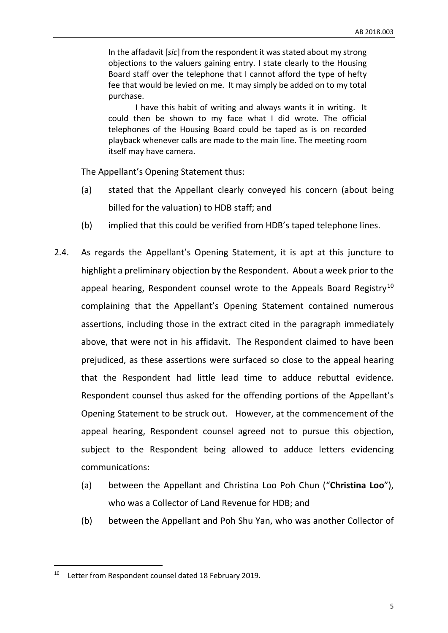In the affadavit [sic] from the respondent it was stated about my strong objections to the valuers gaining entry. I state clearly to the Housing Board staff over the telephone that I cannot afford the type of hefty fee that would be levied on me. It may simply be added on to my total purchase.

 I have this habit of writing and always wants it in writing. It could then be shown to my face what I did wrote. The official telephones of the Housing Board could be taped as is on recorded playback whenever calls are made to the main line. The meeting room itself may have camera.

The Appellant's Opening Statement thus:

- (a) stated that the Appellant clearly conveyed his concern (about being billed for the valuation) to HDB staff; and
- (b) implied that this could be verified from HDB's taped telephone lines.
- 2.4. As regards the Appellant's Opening Statement, it is apt at this juncture to highlight a preliminary objection by the Respondent. About a week prior to the appeal hearing, Respondent counsel wrote to the Appeals Board Registry<sup>10</sup> complaining that the Appellant's Opening Statement contained numerous assertions, including those in the extract cited in the paragraph immediately above, that were not in his affidavit. The Respondent claimed to have been prejudiced, as these assertions were surfaced so close to the appeal hearing that the Respondent had little lead time to adduce rebuttal evidence. Respondent counsel thus asked for the offending portions of the Appellant's Opening Statement to be struck out. However, at the commencement of the appeal hearing, Respondent counsel agreed not to pursue this objection, subject to the Respondent being allowed to adduce letters evidencing communications:
	- (a) between the Appellant and Christina Loo Poh Chun ("Christina Loo"), who was a Collector of Land Revenue for HDB; and
	- (b) between the Appellant and Poh Shu Yan, who was another Collector of

<sup>&</sup>lt;sup>10</sup> Letter from Respondent counsel dated 18 February 2019.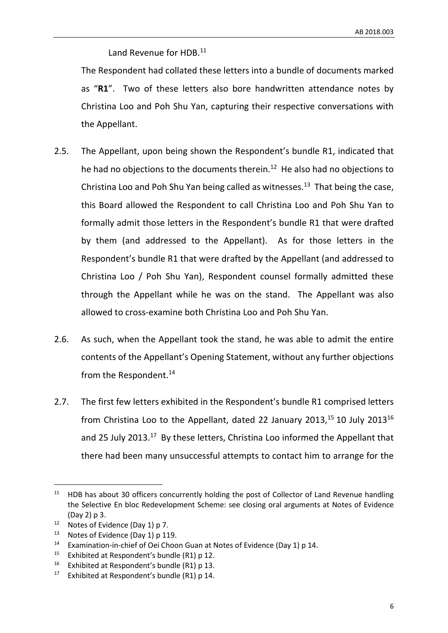Land Revenue for HDB.<sup>11</sup>

The Respondent had collated these letters into a bundle of documents marked as "R1". Two of these letters also bore handwritten attendance notes by Christina Loo and Poh Shu Yan, capturing their respective conversations with the Appellant.

- 2.5. The Appellant, upon being shown the Respondent's bundle R1, indicated that he had no objections to the documents therein.<sup>12</sup> He also had no objections to Christina Loo and Poh Shu Yan being called as witnesses.<sup>13</sup> That being the case, this Board allowed the Respondent to call Christina Loo and Poh Shu Yan to formally admit those letters in the Respondent's bundle R1 that were drafted by them (and addressed to the Appellant). As for those letters in the Respondent's bundle R1 that were drafted by the Appellant (and addressed to Christina Loo / Poh Shu Yan), Respondent counsel formally admitted these through the Appellant while he was on the stand. The Appellant was also allowed to cross-examine both Christina Loo and Poh Shu Yan.
- 2.6. As such, when the Appellant took the stand, he was able to admit the entire contents of the Appellant's Opening Statement, without any further objections from the Respondent.<sup>14</sup>
- 2.7. The first few letters exhibited in the Respondent's bundle R1 comprised letters from Christina Loo to the Appellant, dated 22 January 2013, $15$  10 July 2013 $16$ and 25 July 2013.<sup>17</sup> By these letters, Christina Loo informed the Appellant that there had been many unsuccessful attempts to contact him to arrange for the

 $11$  HDB has about 30 officers concurrently holding the post of Collector of Land Revenue handling the Selective En bloc Redevelopment Scheme: see closing oral arguments at Notes of Evidence (Day 2) p 3.

<sup>&</sup>lt;sup>12</sup> Notes of Evidence (Day 1)  $p$  7.

<sup>&</sup>lt;sup>13</sup> Notes of Evidence (Day 1)  $p$  119.

<sup>&</sup>lt;sup>14</sup> Examination-in-chief of Oei Choon Guan at Notes of Evidence (Day 1) p 14.

<sup>&</sup>lt;sup>15</sup> Exhibited at Respondent's bundle (R1) p 12.<br><sup>16</sup> Exhibited at Respondent's bundle (R1) p 13

Exhibited at Respondent's bundle (R1) p 13.

<sup>&</sup>lt;sup>17</sup> Exhibited at Respondent's bundle (R1)  $p$  14.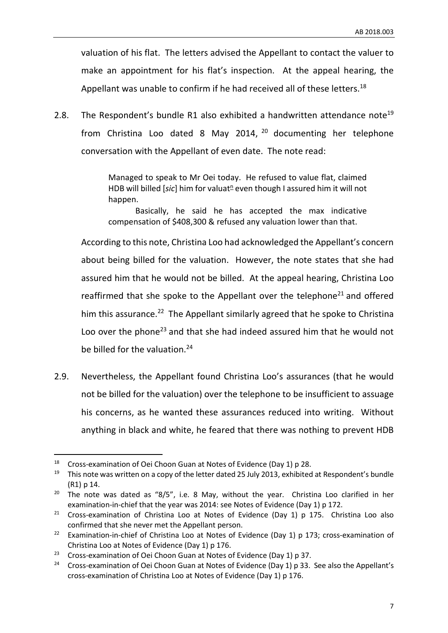valuation of his flat. The letters advised the Appellant to contact the valuer to make an appointment for his flat's inspection. At the appeal hearing, the Appellant was unable to confirm if he had received all of these letters.<sup>18</sup>

2.8. The Respondent's bundle R1 also exhibited a handwritten attendance note<sup>19</sup> from Christina Loo dated 8 May 2014,  $20$  documenting her telephone conversation with the Appellant of even date. The note read:

> Managed to speak to Mr Oei today. He refused to value flat, claimed HDB will billed [sic] him for valuat<sup>n</sup> even though I assured him it will not happen.

> Basically, he said he has accepted the max indicative compensation of \$408,300 & refused any valuation lower than that.

According to this note, Christina Loo had acknowledged the Appellant's concern about being billed for the valuation. However, the note states that she had assured him that he would not be billed. At the appeal hearing, Christina Loo reaffirmed that she spoke to the Appellant over the telephone<sup>21</sup> and offered him this assurance.<sup>22</sup> The Appellant similarly agreed that he spoke to Christina Loo over the phone<sup>23</sup> and that she had indeed assured him that he would not be billed for the valuation.<sup>24</sup>

2.9. Nevertheless, the Appellant found Christina Loo's assurances (that he would not be billed for the valuation) over the telephone to be insufficient to assuage his concerns, as he wanted these assurances reduced into writing. Without anything in black and white, he feared that there was nothing to prevent HDB

<sup>&</sup>lt;sup>18</sup> Cross-examination of Oei Choon Guan at Notes of Evidence (Day 1) p 28.

<sup>&</sup>lt;sup>19</sup> This note was written on a copy of the letter dated 25 July 2013, exhibited at Respondent's bundle (R1) p 14.

<sup>&</sup>lt;sup>20</sup> The note was dated as "8/5", i.e. 8 May, without the year. Christina Loo clarified in her examination-in-chief that the year was 2014: see Notes of Evidence (Day 1) p 172.

<sup>&</sup>lt;sup>21</sup> Cross-examination of Christina Loo at Notes of Evidence (Day 1) p 175. Christina Loo also confirmed that she never met the Appellant person.

<sup>&</sup>lt;sup>22</sup> Examination-in-chief of Christina Loo at Notes of Evidence (Day 1) p 173; cross-examination of Christina Loo at Notes of Evidence (Day 1) p 176.

<sup>&</sup>lt;sup>23</sup> Cross-examination of Oei Choon Guan at Notes of Evidence (Day 1) p 37.<br><sup>24</sup> Cross-examination of Oei Choon Guan at Notes of Evidence (Day 1) p 33.

<sup>24</sup> Cross-examination of Oei Choon Guan at Notes of Evidence (Day 1) p 33. See also the Appellant's cross-examination of Christina Loo at Notes of Evidence (Day 1) p 176.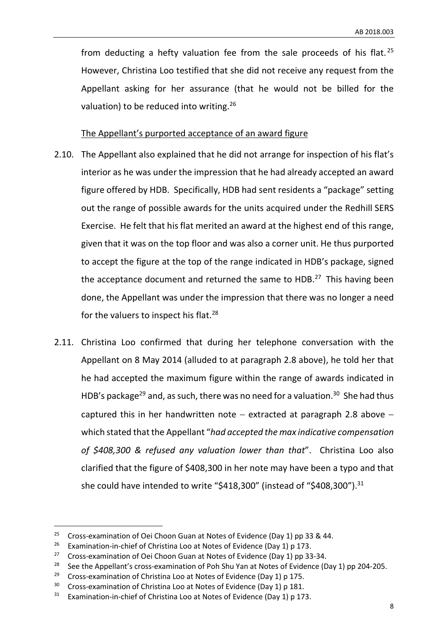from deducting a hefty valuation fee from the sale proceeds of his flat.<sup>25</sup> However, Christina Loo testified that she did not receive any request from the Appellant asking for her assurance (that he would not be billed for the valuation) to be reduced into writing.<sup>26</sup>

The Appellant's purported acceptance of an award figure

- 2.10. The Appellant also explained that he did not arrange for inspection of his flat's interior as he was under the impression that he had already accepted an award figure offered by HDB. Specifically, HDB had sent residents a "package" setting out the range of possible awards for the units acquired under the Redhill SERS Exercise. He felt that his flat merited an award at the highest end of this range, given that it was on the top floor and was also a corner unit. He thus purported to accept the figure at the top of the range indicated in HDB's package, signed the acceptance document and returned the same to HDB. $^{27}$  This having been done, the Appellant was under the impression that there was no longer a need for the valuers to inspect his flat.<sup>28</sup>
- 2.11. Christina Loo confirmed that during her telephone conversation with the Appellant on 8 May 2014 (alluded to at paragraph 2.8 above), he told her that he had accepted the maximum figure within the range of awards indicated in HDB's package<sup>29</sup> and, as such, there was no need for a valuation.<sup>30</sup> She had thus captured this in her handwritten note  $-$  extracted at paragraph 2.8 above  $$ which stated that the Appellant "had accepted the max indicative compensation of \$408,300 & refused any valuation lower than that". Christina Loo also clarified that the figure of \$408,300 in her note may have been a typo and that she could have intended to write "\$418,300" (instead of "\$408,300").<sup>31</sup>

<sup>&</sup>lt;sup>25</sup> Cross-examination of Oei Choon Guan at Notes of Evidence (Day 1) pp 33 & 44.

<sup>&</sup>lt;sup>26</sup> Examination-in-chief of Christina Loo at Notes of Evidence (Day 1) p 173.

<sup>&</sup>lt;sup>27</sup> Cross-examination of Oei Choon Guan at Notes of Evidence (Day 1) pp 33-34.

<sup>&</sup>lt;sup>28</sup> See the Appellant's cross-examination of Poh Shu Yan at Notes of Evidence (Day 1) pp 204-205.

<sup>&</sup>lt;sup>29</sup> Cross-examination of Christina Loo at Notes of Evidence (Day 1) p 175.

<sup>&</sup>lt;sup>30</sup> Cross-examination of Christina Loo at Notes of Evidence (Day 1) p 181.

 $31$  Examination-in-chief of Christina Loo at Notes of Evidence (Day 1) p 173.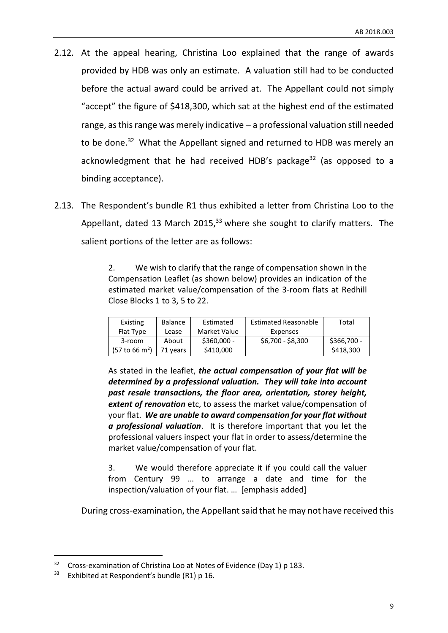- 2.12. At the appeal hearing, Christina Loo explained that the range of awards provided by HDB was only an estimate. A valuation still had to be conducted before the actual award could be arrived at. The Appellant could not simply "accept" the figure of \$418,300, which sat at the highest end of the estimated range, as this range was merely indicative  $-$  a professional valuation still needed to be done.<sup>32</sup> What the Appellant signed and returned to HDB was merely an acknowledgment that he had received HDB's package<sup>32</sup> (as opposed to a binding acceptance).
- 2.13. The Respondent's bundle R1 thus exhibited a letter from Christina Loo to the Appellant, dated 13 March 2015,  $33$  where she sought to clarify matters. The salient portions of the letter are as follows:

2. We wish to clarify that the range of compensation shown in the Compensation Leaflet (as shown below) provides an indication of the estimated market value/compensation of the 3-room flats at Redhill Close Blocks 1 to 3, 5 to 22.

| Existing                          | Balance  | Estimated    | <b>Estimated Reasonable</b> | Total       |
|-----------------------------------|----------|--------------|-----------------------------|-------------|
| Flat Type                         | Lease    | Market Value | Expenses                    |             |
| 3-room                            | About    | $$360,000 -$ | \$6,700 - \$8,300           | \$366,700 - |
| $(57 \text{ to } 66 \text{ m}^2)$ | 71 years | \$410,000    |                             | \$418,300   |

As stated in the leaflet, the actual compensation of your flat will be determined by a professional valuation. They will take into account past resale transactions, the floor area, orientation, storey height, extent of renovation etc, to assess the market value/compensation of your flat. We are unable to award compensation for your flat without a professional valuation. It is therefore important that you let the professional valuers inspect your flat in order to assess/determine the market value/compensation of your flat.

3. We would therefore appreciate it if you could call the valuer from Century 99 … to arrange a date and time for the inspection/valuation of your flat. … [emphasis added]

During cross-examination, the Appellant said that he may not have received this

 $32$  Cross-examination of Christina Loo at Notes of Evidence (Day 1) p 183.

 $33$  Exhibited at Respondent's bundle (R1) p 16.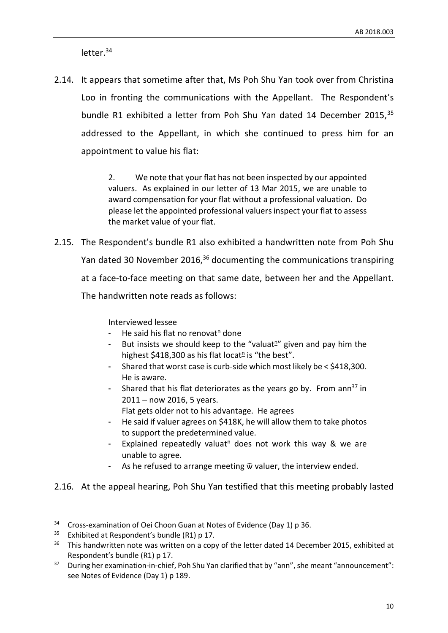letter.<sup>34</sup>

2.14. It appears that sometime after that, Ms Poh Shu Yan took over from Christina Loo in fronting the communications with the Appellant. The Respondent's bundle R1 exhibited a letter from Poh Shu Yan dated 14 December 2015,  $35$ addressed to the Appellant, in which she continued to press him for an appointment to value his flat:

> 2. We note that your flat has not been inspected by our appointed valuers. As explained in our letter of 13 Mar 2015, we are unable to award compensation for your flat without a professional valuation. Do please let the appointed professional valuers inspect your flat to assess the market value of your flat.

2.15. The Respondent's bundle R1 also exhibited a handwritten note from Poh Shu Yan dated 30 November 2016, $36$  documenting the communications transpiring at a face-to-face meeting on that same date, between her and the Appellant. The handwritten note reads as follows:

Interviewed lessee

- He said his flat no renovat<sup>n</sup> done
- But insists we should keep to the "valuat $n$ " given and pay him the highest \$418,300 as his flat locat<sup>n</sup> is "the best".
- Shared that worst case is curb-side which most likely be  $<$  \$418,300. He is aware.
- Shared that his flat deteriorates as the years go by. From ann<sup>37</sup> in  $2011 - now 2016$ , 5 years.
	- Flat gets older not to his advantage. He agrees
- He said if valuer agrees on \$418K, he will allow them to take photos to support the predetermined value.
- Explained repeatedly valuat<sup>n</sup> does not work this way & we are unable to agree.
- As he refused to arrange meeting  $\bar{w}$  valuer, the interview ended.
- 2.16. At the appeal hearing, Poh Shu Yan testified that this meeting probably lasted

<sup>&</sup>lt;sup>34</sup> Cross-examination of Oei Choon Guan at Notes of Evidence (Day 1) p 36.

 $35$  Exhibited at Respondent's bundle (R1) p 17.

<sup>&</sup>lt;sup>36</sup> This handwritten note was written on a copy of the letter dated 14 December 2015, exhibited at Respondent's bundle (R1) p 17.

 $37$  During her examination-in-chief, Poh Shu Yan clarified that by "ann", she meant "announcement": see Notes of Evidence (Day 1) p 189.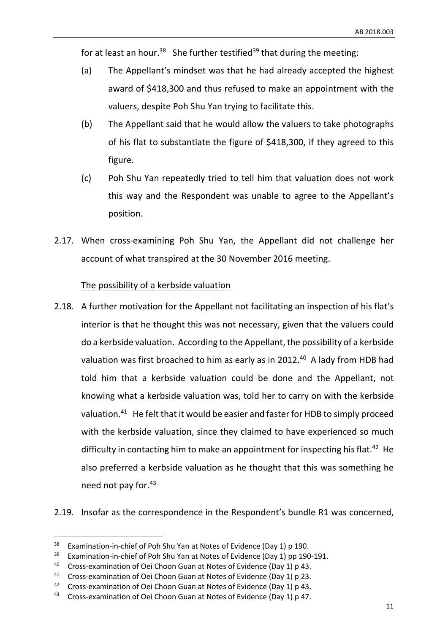for at least an hour.<sup>38</sup> She further testified<sup>39</sup> that during the meeting:

- (a) The Appellant's mindset was that he had already accepted the highest award of \$418,300 and thus refused to make an appointment with the valuers, despite Poh Shu Yan trying to facilitate this.
- (b) The Appellant said that he would allow the valuers to take photographs of his flat to substantiate the figure of \$418,300, if they agreed to this figure.
- (c) Poh Shu Yan repeatedly tried to tell him that valuation does not work this way and the Respondent was unable to agree to the Appellant's position.
- 2.17. When cross-examining Poh Shu Yan, the Appellant did not challenge her account of what transpired at the 30 November 2016 meeting.

#### The possibility of a kerbside valuation

- 2.18. A further motivation for the Appellant not facilitating an inspection of his flat's interior is that he thought this was not necessary, given that the valuers could do a kerbside valuation. According to the Appellant, the possibility of a kerbside valuation was first broached to him as early as in 2012.<sup>40</sup> A lady from HDB had told him that a kerbside valuation could be done and the Appellant, not knowing what a kerbside valuation was, told her to carry on with the kerbside valuation.<sup>41</sup> He felt that it would be easier and faster for HDB to simply proceed with the kerbside valuation, since they claimed to have experienced so much difficulty in contacting him to make an appointment for inspecting his flat.<sup>42</sup> He also preferred a kerbside valuation as he thought that this was something he need not pay for.<sup>43</sup>
- 2.19. Insofar as the correspondence in the Respondent's bundle R1 was concerned,

<sup>&</sup>lt;sup>38</sup> Examination-in-chief of Poh Shu Yan at Notes of Evidence (Day 1) p 190.

<sup>&</sup>lt;sup>39</sup> Examination-in-chief of Poh Shu Yan at Notes of Evidence (Day 1) pp 190-191.

<sup>40</sup> Cross-examination of Oei Choon Guan at Notes of Evidence (Day 1) p 43.

<sup>41</sup> Cross-examination of Oei Choon Guan at Notes of Evidence (Day 1) p 23.

<sup>&</sup>lt;sup>42</sup> Cross-examination of Oei Choon Guan at Notes of Evidence (Day 1) p 43.

<sup>43</sup> Cross-examination of Oei Choon Guan at Notes of Evidence (Day 1) p 47.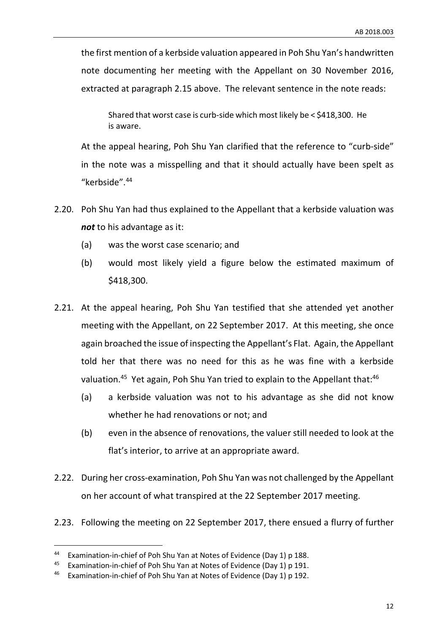the first mention of a kerbside valuation appeared in Poh Shu Yan's handwritten note documenting her meeting with the Appellant on 30 November 2016, extracted at paragraph 2.15 above. The relevant sentence in the note reads:

Shared that worst case is curb-side which most likely be < \$418,300. He is aware.

At the appeal hearing, Poh Shu Yan clarified that the reference to "curb-side" in the note was a misspelling and that it should actually have been spelt as "kerbside".<sup>44</sup>

- 2.20. Poh Shu Yan had thus explained to the Appellant that a kerbside valuation was not to his advantage as it:
	- (a) was the worst case scenario; and
	- (b) would most likely yield a figure below the estimated maximum of \$418,300.
- 2.21. At the appeal hearing, Poh Shu Yan testified that she attended yet another meeting with the Appellant, on 22 September 2017. At this meeting, she once again broached the issue of inspecting the Appellant's Flat. Again, the Appellant told her that there was no need for this as he was fine with a kerbside valuation.<sup>45</sup> Yet again, Poh Shu Yan tried to explain to the Appellant that:<sup>46</sup>
	- (a) a kerbside valuation was not to his advantage as she did not know whether he had renovations or not; and
	- (b) even in the absence of renovations, the valuer still needed to look at the flat's interior, to arrive at an appropriate award.
- 2.22. During her cross-examination, Poh Shu Yan was not challenged by the Appellant on her account of what transpired at the 22 September 2017 meeting.
- 2.23. Following the meeting on 22 September 2017, there ensued a flurry of further

<sup>&</sup>lt;sup>44</sup> Examination-in-chief of Poh Shu Yan at Notes of Evidence (Day 1) p 188.<br><sup>45</sup> Examination-in-chief of Poh Shu Yan at Notes of Evidence (Day 1) n 191

Examination-in-chief of Poh Shu Yan at Notes of Evidence (Day 1) p 191.

<sup>46</sup> Examination-in-chief of Poh Shu Yan at Notes of Evidence (Day 1) p 192.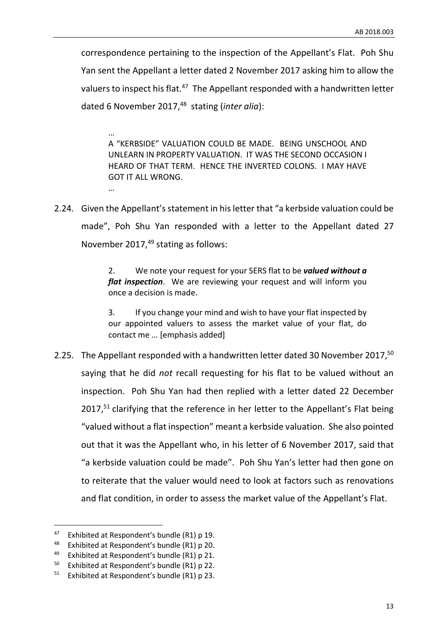correspondence pertaining to the inspection of the Appellant's Flat. Poh Shu Yan sent the Appellant a letter dated 2 November 2017 asking him to allow the valuers to inspect his flat.<sup>47</sup> The Appellant responded with a handwritten letter dated 6 November 2017, $48$  stating (inter alia):

… A "KERBSIDE" VALUATION COULD BE MADE. BEING UNSCHOOL AND UNLEARN IN PROPERTY VALUATION. IT WAS THE SECOND OCCASION I HEARD OF THAT TERM. HENCE THE INVERTED COLONS. I MAY HAVE GOT IT ALL WRONG.

2.24. Given the Appellant's statement in his letter that "a kerbside valuation could be made", Poh Shu Yan responded with a letter to the Appellant dated 27 November 2017, $49$  stating as follows:

> 2. We note your request for your SERS flat to be valued without a flat inspection. We are reviewing your request and will inform you once a decision is made.

> 3. If you change your mind and wish to have your flat inspected by our appointed valuers to assess the market value of your flat, do contact me … [emphasis added]

2.25. The Appellant responded with a handwritten letter dated 30 November 2017,  $50$ saying that he did not recall requesting for his flat to be valued without an inspection. Poh Shu Yan had then replied with a letter dated 22 December 2017,<sup>51</sup> clarifying that the reference in her letter to the Appellant's Flat being "valued without a flat inspection" meant a kerbside valuation. She also pointed out that it was the Appellant who, in his letter of 6 November 2017, said that "a kerbside valuation could be made". Poh Shu Yan's letter had then gone on to reiterate that the valuer would need to look at factors such as renovations and flat condition, in order to assess the market value of the Appellant's Flat.

-

…

<sup>&</sup>lt;sup>47</sup> Exhibited at Respondent's bundle (R1)  $p$  19.

<sup>&</sup>lt;sup>48</sup> Exhibited at Respondent's bundle (R1)  $p$  20.

<sup>&</sup>lt;sup>49</sup> Exhibited at Respondent's bundle (R1) p 21.<br><sup>50</sup> Exhibited at Respondent's bundle (R1) p 22.

Exhibited at Respondent's bundle (R1) p 22.

 $51$  Exhibited at Respondent's bundle (R1) p 23.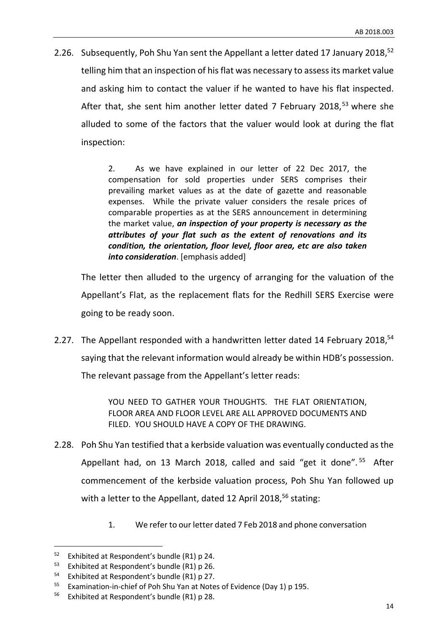2.26. Subsequently, Poh Shu Yan sent the Appellant a letter dated 17 January 2018,  $52$ telling him that an inspection of his flat was necessary to assess its market value and asking him to contact the valuer if he wanted to have his flat inspected. After that, she sent him another letter dated 7 February 2018, $53$  where she alluded to some of the factors that the valuer would look at during the flat inspection:

> 2. As we have explained in our letter of 22 Dec 2017, the compensation for sold properties under SERS comprises their prevailing market values as at the date of gazette and reasonable expenses. While the private valuer considers the resale prices of comparable properties as at the SERS announcement in determining the market value, an inspection of your property is necessary as the attributes of your flat such as the extent of renovations and its condition, the orientation, floor level, floor area, etc are also taken into consideration. [emphasis added]

The letter then alluded to the urgency of arranging for the valuation of the Appellant's Flat, as the replacement flats for the Redhill SERS Exercise were going to be ready soon.

2.27. The Appellant responded with a handwritten letter dated 14 February 2018,  $54$ saying that the relevant information would already be within HDB's possession. The relevant passage from the Appellant's letter reads:

> YOU NEED TO GATHER YOUR THOUGHTS. THE FLAT ORIENTATION, FLOOR AREA AND FLOOR LEVEL ARE ALL APPROVED DOCUMENTS AND FILED. YOU SHOULD HAVE A COPY OF THE DRAWING.

- 2.28. Poh Shu Yan testified that a kerbside valuation was eventually conducted as the Appellant had, on 13 March 2018, called and said "get it done". <sup>55</sup> After commencement of the kerbside valuation process, Poh Shu Yan followed up with a letter to the Appellant, dated 12 April 2018,<sup>56</sup> stating:
	- 1. We refer to our letter dated 7 Feb 2018 and phone conversation

 $52$  Exhibited at Respondent's bundle (R1) p 24.

 $53$  Exhibited at Respondent's bundle (R1) p 26.

 $54$  Exhibited at Respondent's bundle (R1) p 27.

<sup>&</sup>lt;sup>55</sup> Examination-in-chief of Poh Shu Yan at Notes of Evidence (Day 1) p 195.

<sup>56</sup> Exhibited at Respondent's bundle (R1) p 28.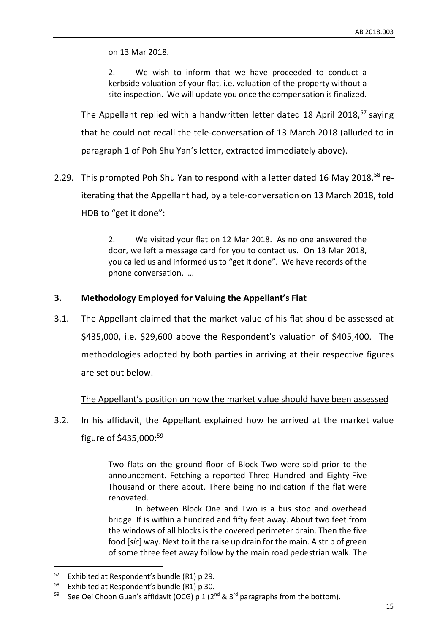on 13 Mar 2018.

2. We wish to inform that we have proceeded to conduct a kerbside valuation of your flat, i.e. valuation of the property without a site inspection. We will update you once the compensation is finalized.

The Appellant replied with a handwritten letter dated 18 April 2018,<sup>57</sup> saying that he could not recall the tele-conversation of 13 March 2018 (alluded to in paragraph 1 of Poh Shu Yan's letter, extracted immediately above).

2.29. This prompted Poh Shu Yan to respond with a letter dated 16 May 2018.<sup>58</sup> reiterating that the Appellant had, by a tele-conversation on 13 March 2018, told HDB to "get it done":

> 2. We visited your flat on 12 Mar 2018. As no one answered the door, we left a message card for you to contact us. On 13 Mar 2018, you called us and informed us to "get it done". We have records of the phone conversation. …

## 3. Methodology Employed for Valuing the Appellant's Flat

3.1. The Appellant claimed that the market value of his flat should be assessed at \$435,000, i.e. \$29,600 above the Respondent's valuation of \$405,400. The methodologies adopted by both parties in arriving at their respective figures are set out below.

### The Appellant's position on how the market value should have been assessed

3.2. In his affidavit, the Appellant explained how he arrived at the market value figure of \$435,000:<sup>59</sup>

> Two flats on the ground floor of Block Two were sold prior to the announcement. Fetching a reported Three Hundred and Eighty-Five Thousand or there about. There being no indication if the flat were renovated.

> In between Block One and Two is a bus stop and overhead bridge. If is within a hundred and fifty feet away. About two feet from the windows of all blocks is the covered perimeter drain. Then the five food [sic] way. Next to it the raise up drain for the main. A strip of green of some three feet away follow by the main road pedestrian walk. The

 $57$  Exhibited at Respondent's bundle (R1) p 29.

 $58$  Exhibited at Respondent's bundle (R1) p 30.

<sup>&</sup>lt;sup>59</sup> See Oei Choon Guan's affidavit (OCG) p 1 ( $2^{nd}$  &  $3^{rd}$  paragraphs from the bottom).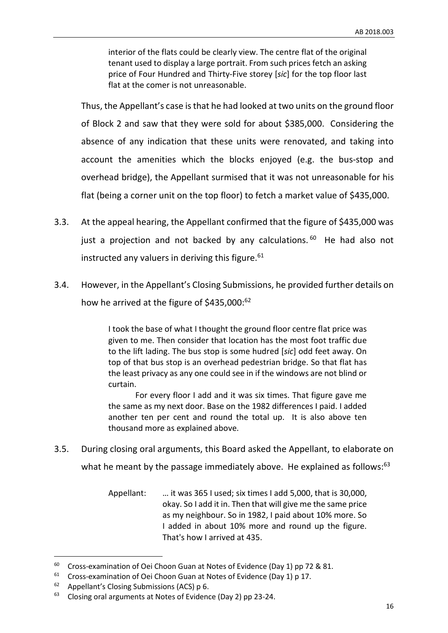interior of the flats could be clearly view. The centre flat of the original tenant used to display a large portrait. From such prices fetch an asking price of Four Hundred and Thirty-Five storey [sic] for the top floor last flat at the comer is not unreasonable.

Thus, the Appellant's case is that he had looked at two units on the ground floor of Block 2 and saw that they were sold for about \$385,000. Considering the absence of any indication that these units were renovated, and taking into account the amenities which the blocks enjoyed (e.g. the bus-stop and overhead bridge), the Appellant surmised that it was not unreasonable for his flat (being a corner unit on the top floor) to fetch a market value of \$435,000.

- 3.3. At the appeal hearing, the Appellant confirmed that the figure of \$435,000 was just a projection and not backed by any calculations.  $60$  He had also not instructed any valuers in deriving this figure.<sup>61</sup>
- 3.4. However, in the Appellant's Closing Submissions, he provided further details on how he arrived at the figure of \$435,000:<sup>62</sup>

I took the base of what I thought the ground floor centre flat price was given to me. Then consider that location has the most foot traffic due to the lift lading. The bus stop is some hudred [sic] odd feet away. On top of that bus stop is an overhead pedestrian bridge. So that flat has the least privacy as any one could see in if the windows are not blind or curtain.

 For every floor I add and it was six times. That figure gave me the same as my next door. Base on the 1982 differences I paid. I added another ten per cent and round the total up. It is also above ten thousand more as explained above.

- 3.5. During closing oral arguments, this Board asked the Appellant, to elaborate on what he meant by the passage immediately above. He explained as follows: $63$ 
	- Appellant: … it was 365 I used; six times I add 5,000, that is 30,000, okay. So I add it in. Then that will give me the same price as my neighbour. So in 1982, I paid about 10% more. So I added in about 10% more and round up the figure. That's how I arrived at 435.

 $60$  Cross-examination of Oei Choon Guan at Notes of Evidence (Day 1) pp 72 & 81.

 $61$  Cross-examination of Oei Choon Guan at Notes of Evidence (Day 1) p 17.

 $62$  Appellant's Closing Submissions (ACS) p 6.

<sup>&</sup>lt;sup>63</sup> Closing oral arguments at Notes of Evidence (Day 2) pp 23-24.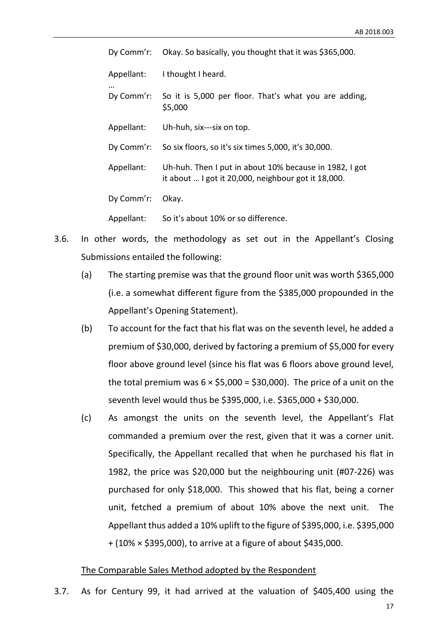| Dy Comm'r: | Okay. So basically, you thought that it was \$365,000.                                                        |
|------------|---------------------------------------------------------------------------------------------------------------|
| Appellant: | I thought I heard.                                                                                            |
| Dy Comm'r: | So it is 5,000 per floor. That's what you are adding,<br>\$5,000                                              |
| Appellant: | Uh-huh, six---six on top.                                                                                     |
| Dy Comm'r: | So six floors, so it's six times 5,000, it's 30,000.                                                          |
| Appellant: | Uh-huh. Then I put in about 10% because in 1982, I got<br>it about  I got it 20,000, neighbour got it 18,000. |
| Dy Comm'r: | Okay.                                                                                                         |
| Appellant: | So it's about 10% or so difference.                                                                           |

- 3.6. In other words, the methodology as set out in the Appellant's Closing Submissions entailed the following:
	- (a) The starting premise was that the ground floor unit was worth \$365,000 (i.e. a somewhat different figure from the \$385,000 propounded in the Appellant's Opening Statement).
	- (b) To account for the fact that his flat was on the seventh level, he added a premium of \$30,000, derived by factoring a premium of \$5,000 for every floor above ground level (since his flat was 6 floors above ground level, the total premium was  $6 \times $5,000 = $30,000$ . The price of a unit on the seventh level would thus be \$395,000, i.e. \$365,000 + \$30,000.
	- (c) As amongst the units on the seventh level, the Appellant's Flat commanded a premium over the rest, given that it was a corner unit. Specifically, the Appellant recalled that when he purchased his flat in 1982, the price was \$20,000 but the neighbouring unit (#07-226) was purchased for only \$18,000. This showed that his flat, being a corner unit, fetched a premium of about 10% above the next unit. The Appellant thus added a 10% uplift to the figure of \$395,000, i.e. \$395,000 + (10% × \$395,000), to arrive at a figure of about \$435,000.

#### The Comparable Sales Method adopted by the Respondent

3.7. As for Century 99, it had arrived at the valuation of \$405,400 using the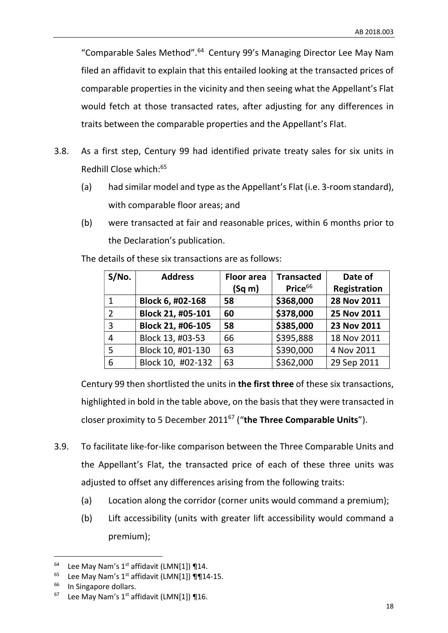"Comparable Sales Method".<sup>64</sup> Century 99's Managing Director Lee May Nam filed an affidavit to explain that this entailed looking at the transacted prices of comparable properties in the vicinity and then seeing what the Appellant's Flat would fetch at those transacted rates, after adjusting for any differences in traits between the comparable properties and the Appellant's Flat.

- 3.8. As a first step, Century 99 had identified private treaty sales for six units in Redhill Close which:<sup>65</sup>
	- (a) had similar model and type as the Appellant's Flat (i.e. 3-room standard), with comparable floor areas; and
	- (b) were transacted at fair and reasonable prices, within 6 months prior to the Declaration's publication.

| S/No.         | <b>Address</b>    | <b>Transacted</b><br><b>Floor</b> area |                     | Date of      |  |
|---------------|-------------------|----------------------------------------|---------------------|--------------|--|
|               |                   | (Sq m)                                 | Price <sup>66</sup> | Registration |  |
| 1             | Block 6, #02-168  | 58                                     | \$368,000           | 28 Nov 2011  |  |
| $\mathcal{P}$ | Block 21, #05-101 | 60                                     | \$378,000           | 25 Nov 2011  |  |
| 3             | Block 21, #06-105 | 58                                     | \$385,000           | 23 Nov 2011  |  |
| 4             | Block 13, #03-53  | 66                                     | \$395,888           | 18 Nov 2011  |  |
| 5             | Block 10, #01-130 | 63                                     | \$390,000           | 4 Nov 2011   |  |
| 6             | Block 10, #02-132 | 63                                     | \$362,000           | 29 Sep 2011  |  |

The details of these six transactions are as follows:

Century 99 then shortlisted the units in the first three of these six transactions, highlighted in bold in the table above, on the basis that they were transacted in closer proximity to 5 December 2011 $^{67}$  ("the Three Comparable Units").

- 3.9. To facilitate like-for-like comparison between the Three Comparable Units and the Appellant's Flat, the transacted price of each of these three units was adjusted to offset any differences arising from the following traits:
	- (a) Location along the corridor (corner units would command a premium);
	- (b) Lift accessibility (units with greater lift accessibility would command a premium);

<sup>&</sup>lt;sup>64</sup> Lee May Nam's 1<sup>st</sup> affidavit (LMN[1]) **¶**14.

<sup>&</sup>lt;sup>65</sup> Lee May Nam's  $1^{st}$  affidavit (LMN[1]) ¶¶14-15.

<sup>&</sup>lt;sup>66</sup> In Singapore dollars.

 $67$  Lee May Nam's 1<sup>st</sup> affidavit (LMN[1]) **[16.**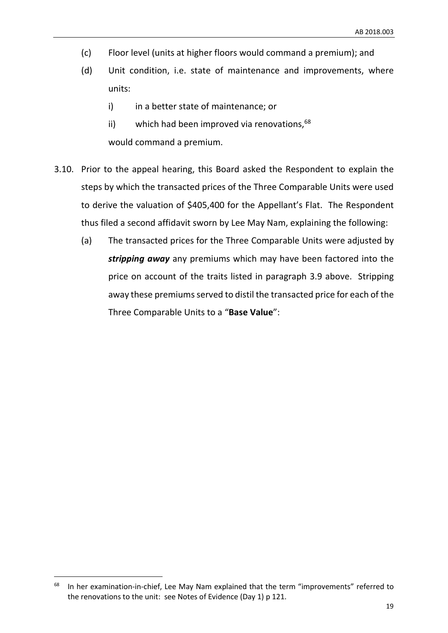- (c) Floor level (units at higher floors would command a premium); and
- (d) Unit condition, i.e. state of maintenance and improvements, where units:
	- i) in a better state of maintenance; or
	- ii) which had been improved via renovations,  $68$ would command a premium.
- 3.10. Prior to the appeal hearing, this Board asked the Respondent to explain the steps by which the transacted prices of the Three Comparable Units were used to derive the valuation of \$405,400 for the Appellant's Flat. The Respondent thus filed a second affidavit sworn by Lee May Nam, explaining the following:
	- (a) The transacted prices for the Three Comparable Units were adjusted by stripping away any premiums which may have been factored into the price on account of the traits listed in paragraph 3.9 above. Stripping away these premiums served to distil the transacted price for each of the Three Comparable Units to a "Base Value":

<sup>&</sup>lt;sup>68</sup> In her examination-in-chief, Lee May Nam explained that the term "improvements" referred to the renovations to the unit: see Notes of Evidence (Day 1) p 121.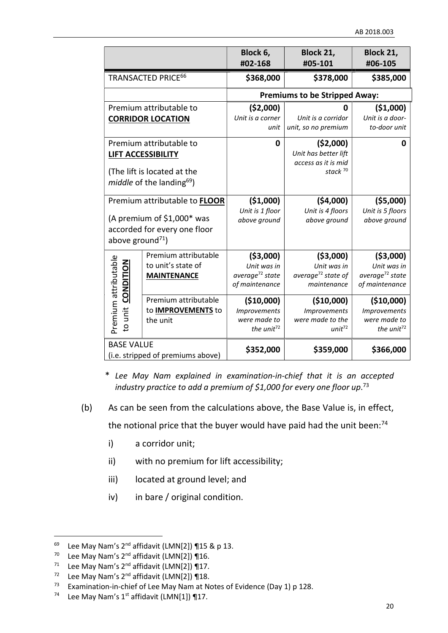|                                                        |                               | Block 6,<br>#02-168                  | Block 21,<br>#05-101           | Block 21,<br>#06-105        |  |  |
|--------------------------------------------------------|-------------------------------|--------------------------------------|--------------------------------|-----------------------------|--|--|
| <b>TRANSACTED PRICE<sup>66</sup></b>                   |                               | \$368,000                            | \$378,000                      | \$385,000                   |  |  |
|                                                        |                               | <b>Premiums to be Stripped Away:</b> |                                |                             |  |  |
|                                                        | Premium attributable to       | ( \$2,000)                           |                                | ( \$1,000)                  |  |  |
|                                                        | <b>CORRIDOR LOCATION</b>      | Unit is a corner                     | Unit is a corridor             | Unit is a door-             |  |  |
|                                                        |                               | unit                                 | unit, so no premium            | to-door unit                |  |  |
|                                                        | Premium attributable to       | 0                                    | ( \$2,000)                     | 0                           |  |  |
|                                                        | LIFT ACCESSIBILITY            |                                      | Unit has better lift           |                             |  |  |
|                                                        |                               |                                      | access as it is mid            |                             |  |  |
|                                                        | (The lift is located at the   |                                      | stack <sup>70</sup>            |                             |  |  |
| <i>middle</i> of the landing <sup>69</sup> )           |                               |                                      |                                |                             |  |  |
|                                                        | Premium attributable to FLOOR | (54,000)<br>(51,000)                 |                                | (55,000)                    |  |  |
|                                                        |                               | Unit is 1 floor                      | Unit is 4 floors               | Unit is 5 floors            |  |  |
|                                                        | (A premium of $$1,000*$ was   | above ground                         | above ground                   | above ground                |  |  |
|                                                        | accorded for every one floor  |                                      |                                |                             |  |  |
| above ground <sup>71</sup> )                           |                               |                                      |                                |                             |  |  |
| Premium attributable                                   | Premium attributable          | ( \$3,000)                           | ( \$3,000)                     | ( \$3,000)                  |  |  |
|                                                        | to unit's state of            | Unit was in                          | Unit was in                    | Unit was in                 |  |  |
|                                                        | <b>MAINTENANCE</b>            | average <sup>72</sup> state          | average <sup>72</sup> state of | average <sup>72</sup> state |  |  |
| <b>CONDITION</b>                                       |                               | of maintenance                       | maintenance                    | of maintenance              |  |  |
|                                                        | Premium attributable          | (\$10,000)                           | (\$10,000)                     | (\$10,000)                  |  |  |
|                                                        | to <b>IMPROVEMENTS</b> to     | <b>Improvements</b>                  | <b>Improvements</b>            | <b>Improvements</b>         |  |  |
| to unit                                                | the unit                      | were made to                         | were made to the               | were made to                |  |  |
|                                                        |                               | the unit <sup>72</sup>               | unit <sup>72</sup>             | the unit <sup>72</sup>      |  |  |
| <b>BASE VALUE</b><br>(i.e. stripped of premiums above) |                               | \$352,000                            | \$359,000                      | \$366,000                   |  |  |

Lee May Nam explained in examination-in-chief that it is an accepted industry practice to add a premium of \$1,000 for every one floor up.<sup>73</sup>

(b) As can be seen from the calculations above, the Base Value is, in effect,

the notional price that the buyer would have paid had the unit been: $<sup>74</sup>$ </sup>

- i) a corridor unit;
- ii) with no premium for lift accessibility;
- iii) located at ground level; and
- iv) in bare / original condition.

<sup>&</sup>lt;sup>69</sup> Lee May Nam's 2<sup>nd</sup> affidavit (LMN[2])  $\P$ 15 & p 13.

<sup>&</sup>lt;sup>70</sup> Lee May Nam's  $2^{nd}$  affidavit (LMN[2]) ¶16.

<sup>&</sup>lt;sup>71</sup> Lee May Nam's  $2^{nd}$  affidavit (LMN[2])  $\P$ 17.

<sup>&</sup>lt;sup>72</sup> Lee May Nam's 2<sup>nd</sup> affidavit (LMN[2]) ¶18.<br><sup>73</sup> Examination-in-chief of Lee May Nam at No

Examination-in-chief of Lee May Nam at Notes of Evidence (Day 1) p 128.

<sup>&</sup>lt;sup>74</sup> Lee May Nam's 1<sup>st</sup> affidavit (LMN[1])  $\P$ 17.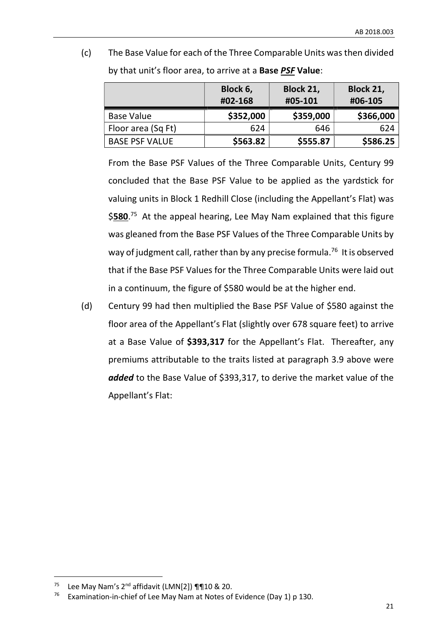(c) The Base Value for each of the Three Comparable Units was then divided by that unit's floor area, to arrive at a Base PSF Value:

|                       | Block 6,  | Block 21, | Block 21,<br>#06-105 |  |
|-----------------------|-----------|-----------|----------------------|--|
|                       | #02-168   | #05-101   |                      |  |
| <b>Base Value</b>     | \$352,000 | \$359,000 | \$366,000            |  |
| Floor area (Sq Ft)    | 624       | 646       | 624                  |  |
| <b>BASE PSF VALUE</b> | \$563.82  | \$555.87  | \$586.25             |  |

From the Base PSF Values of the Three Comparable Units, Century 99 concluded that the Base PSF Value to be applied as the yardstick for valuing units in Block 1 Redhill Close (including the Appellant's Flat) was \$580.<sup>75</sup> At the appeal hearing, Lee May Nam explained that this figure was gleaned from the Base PSF Values of the Three Comparable Units by way of judgment call, rather than by any precise formula.<sup>76</sup> It is observed that if the Base PSF Values for the Three Comparable Units were laid out in a continuum, the figure of \$580 would be at the higher end.

(d) Century 99 had then multiplied the Base PSF Value of \$580 against the floor area of the Appellant's Flat (slightly over 678 square feet) to arrive at a Base Value of \$393,317 for the Appellant's Flat. Thereafter, any premiums attributable to the traits listed at paragraph 3.9 above were added to the Base Value of \$393,317, to derive the market value of the Appellant's Flat:

<sup>&</sup>lt;sup>75</sup> Lee May Nam's  $2^{nd}$  affidavit (LMN[2]) ¶¶10 & 20.

<sup>&</sup>lt;sup>76</sup> Examination-in-chief of Lee May Nam at Notes of Evidence (Day 1) p 130.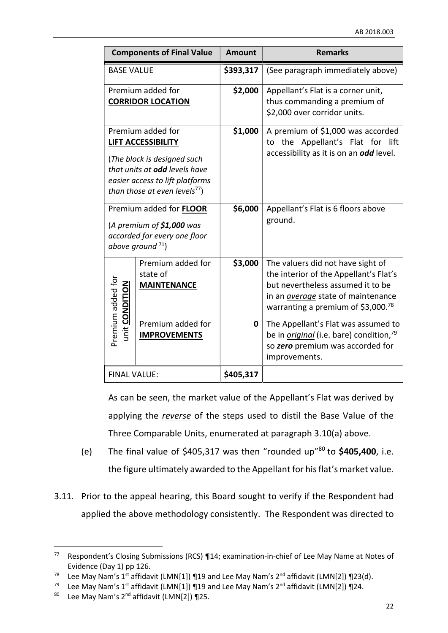| <b>Components of Final Value</b>                                                                                                                                                        |                                                     | <b>Amount</b> | <b>Remarks</b>                                                                                                                                                                                                  |
|-----------------------------------------------------------------------------------------------------------------------------------------------------------------------------------------|-----------------------------------------------------|---------------|-----------------------------------------------------------------------------------------------------------------------------------------------------------------------------------------------------------------|
| <b>BASE VALUE</b>                                                                                                                                                                       |                                                     | \$393,317     | (See paragraph immediately above)                                                                                                                                                                               |
| Premium added for<br><b>CORRIDOR LOCATION</b>                                                                                                                                           |                                                     | \$2,000       | Appellant's Flat is a corner unit,<br>thus commanding a premium of<br>\$2,000 over corridor units.                                                                                                              |
| Premium added for<br>LIFT ACCESSIBILITY<br>(The block is designed such<br>that units at odd levels have<br>easier access to lift platforms<br>than those at even levels <sup>77</sup> ) |                                                     | \$1,000       | A premium of \$1,000 was accorded<br>to the Appellant's Flat for lift<br>accessibility as it is on an odd level.                                                                                                |
| Premium added for <b>FLOOR</b><br>(A premium of $$1,000$ was<br>accorded for every one floor<br>above ground $^{71}$ )                                                                  |                                                     | \$6,000       | Appellant's Flat is 6 floors above<br>ground.                                                                                                                                                                   |
| Premium added for<br>unit CONDITION                                                                                                                                                     | Premium added for<br>state of<br><b>MAINTENANCE</b> | \$3,000       | The valuers did not have sight of<br>the interior of the Appellant's Flat's<br>but nevertheless assumed it to be<br>in an <i>gverage</i> state of maintenance<br>warranting a premium of \$3,000. <sup>78</sup> |
|                                                                                                                                                                                         | Premium added for<br><b>IMPROVEMENTS</b>            | 0             | The Appellant's Flat was assumed to<br>be in <i>original</i> (i.e. bare) condition, <sup>79</sup><br>so zero premium was accorded for<br>improvements.                                                          |
| <b>FINAL VALUE:</b>                                                                                                                                                                     |                                                     | \$405,317     |                                                                                                                                                                                                                 |

As can be seen, the market value of the Appellant's Flat was derived by applying the reverse of the steps used to distil the Base Value of the Three Comparable Units, enumerated at paragraph 3.10(a) above.

- (e) The final value of  $$405,317$  was then "rounded up"<sup>80</sup> to  $$405,400$ , i.e. the figure ultimately awarded to the Appellant for his flat's market value.
- 3.11. Prior to the appeal hearing, this Board sought to verify if the Respondent had applied the above methodology consistently. The Respondent was directed to

<sup>77</sup> Respondent's Closing Submissions (RCS) ¶14; examination-in-chief of Lee May Name at Notes of Evidence (Day 1) pp 126.

<sup>&</sup>lt;sup>78</sup> Lee May Nam's 1<sup>st</sup> affidavit (LMN[1]) ¶19 and Lee May Nam's 2<sup>nd</sup> affidavit (LMN[2]) ¶23(d).

<sup>&</sup>lt;sup>79</sup> Lee May Nam's 1<sup>st</sup> affidavit (LMN[1]) ¶19 and Lee May Nam's 2<sup>nd</sup> affidavit (LMN[2]) ¶24.

<sup>&</sup>lt;sup>80</sup> Lee May Nam's  $2<sup>nd</sup>$  affidavit (LMN[2]) ¶25.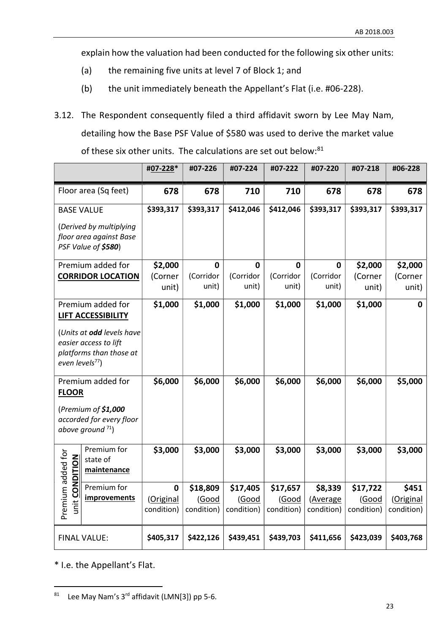explain how the valuation had been conducted for the following six other units:

- (a) the remaining five units at level 7 of Block 1; and
- (b) the unit immediately beneath the Appellant's Flat (i.e. #06-228).
- 3.12. The Respondent consequently filed a third affidavit sworn by Lee May Nam, detailing how the Base PSF Value of \$580 was used to derive the market value of these six other units. The calculations are set out below: 81

|                                                                           |                                                                                                                                                                                                  | #07-228*           | #07-226            | #07-224            | #07-222            | #07-220            | #07-218            | #06-228                |
|---------------------------------------------------------------------------|--------------------------------------------------------------------------------------------------------------------------------------------------------------------------------------------------|--------------------|--------------------|--------------------|--------------------|--------------------|--------------------|------------------------|
|                                                                           | Floor area (Sq feet)                                                                                                                                                                             | 678                | 678                | 710                | 710                | 678                | 678                | 678                    |
|                                                                           | <b>BASE VALUE</b>                                                                                                                                                                                | \$393,317          | \$393,317          | \$412,046          | \$412,046          | \$393,317          | \$393,317          | \$393,317              |
| (Derived by multiplying<br>floor area against Base<br>PSF Value of \$580) |                                                                                                                                                                                                  |                    |                    |                    |                    |                    |                    |                        |
|                                                                           | Premium added for                                                                                                                                                                                | \$2,000            | 0                  | 0                  | 0                  | 0                  | \$2,000            | \$2,000                |
|                                                                           | <b>CORRIDOR LOCATION</b>                                                                                                                                                                         | (Corner            | (Corridor          | (Corridor          | (Corridor          | (Corridor          | (Corner            | (Corner                |
|                                                                           |                                                                                                                                                                                                  | unit)              | unit)              | unit)              | unit)              | unit)              | unit)              | unit)                  |
| even levels <sup>77</sup> )<br><b>FLOOR</b>                               | Premium added for<br>LIFT ACCESSIBILITY<br>(Units at odd levels have<br>easier access to lift<br>platforms than those at<br>Premium added for<br>(Premium of \$1,000<br>accorded for every floor | \$1,000<br>\$6,000 | \$1,000<br>\$6,000 | \$1,000<br>\$6,000 | \$1,000<br>\$6,000 | \$1,000<br>\$6,000 | \$1,000<br>\$6,000 | $\mathbf 0$<br>\$5,000 |
|                                                                           | above ground $71$ )                                                                                                                                                                              |                    |                    |                    |                    |                    |                    |                        |
| Premium added for<br>unit CONDITION                                       | Premium for<br>state of<br>maintenance                                                                                                                                                           | \$3,000            | \$3,000            | \$3,000            | \$3,000            | \$3,000            | \$3,000            | \$3,000                |
|                                                                           | Premium for                                                                                                                                                                                      | 0                  | \$18,809           | \$17,405           | \$17,657           | \$8,339            | \$17,722           | \$451                  |
|                                                                           | <i>improvements</i>                                                                                                                                                                              | (Original          | (Good              | (Good              | (Good              | (Average           | (Good              | (Original              |
|                                                                           |                                                                                                                                                                                                  | condition)         | condition)         | condition)         | condition)         | condition)         | condition)         | condition)             |
|                                                                           | <b>FINAL VALUE:</b>                                                                                                                                                                              | \$405,317          | \$422,126          | \$439,451          | \$439,703          | \$411,656          | \$423,039          | \$403,768              |

\* I.e. the Appellant's Flat.

<sup>&</sup>lt;sup>81</sup> Lee May Nam's  $3^{rd}$  affidavit (LMN[3]) pp 5-6.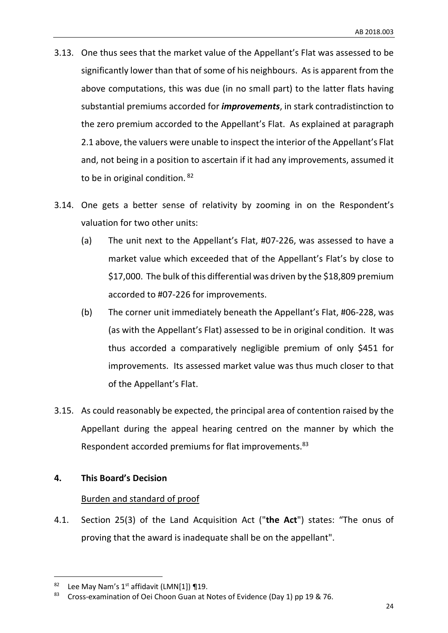- 3.13. One thus sees that the market value of the Appellant's Flat was assessed to be significantly lower than that of some of his neighbours. As is apparent from the above computations, this was due (in no small part) to the latter flats having substantial premiums accorded for *improvements*, in stark contradistinction to the zero premium accorded to the Appellant's Flat. As explained at paragraph 2.1 above, the valuers were unable to inspect the interior of the Appellant's Flat and, not being in a position to ascertain if it had any improvements, assumed it to be in original condition. 82
- 3.14. One gets a better sense of relativity by zooming in on the Respondent's valuation for two other units:
	- (a) The unit next to the Appellant's Flat, #07-226, was assessed to have a market value which exceeded that of the Appellant's Flat's by close to \$17,000. The bulk of this differential was driven by the \$18,809 premium accorded to #07-226 for improvements.
	- (b) The corner unit immediately beneath the Appellant's Flat, #06-228, was (as with the Appellant's Flat) assessed to be in original condition. It was thus accorded a comparatively negligible premium of only \$451 for improvements. Its assessed market value was thus much closer to that of the Appellant's Flat.
- 3.15. As could reasonably be expected, the principal area of contention raised by the Appellant during the appeal hearing centred on the manner by which the Respondent accorded premiums for flat improvements.<sup>83</sup>

### 4. This Board's Decision

-

## Burden and standard of proof

4.1. Section 25(3) of the Land Acquisition Act ("the Act") states: "The onus of proving that the award is inadequate shall be on the appellant".

<sup>&</sup>lt;sup>82</sup> Lee May Nam's 1<sup>st</sup> affidavit (LMN[1])  $\P$ 19.

<sup>83</sup> Cross-examination of Oei Choon Guan at Notes of Evidence (Day 1) pp 19 & 76.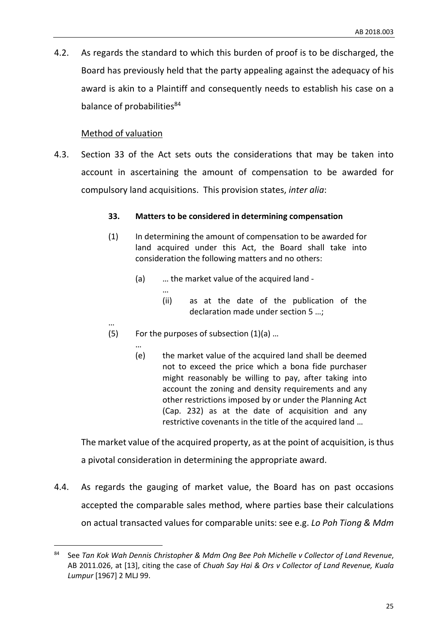4.2. As regards the standard to which this burden of proof is to be discharged, the Board has previously held that the party appealing against the adequacy of his award is akin to a Plaintiff and consequently needs to establish his case on a balance of probabilities<sup>84</sup>

### Method of valuation

4.3. Section 33 of the Act sets outs the considerations that may be taken into account in ascertaining the amount of compensation to be awarded for compulsory land acquisitions. This provision states, inter alia:

#### 33. Matters to be considered in determining compensation

- (1) In determining the amount of compensation to be awarded for land acquired under this Act, the Board shall take into consideration the following matters and no others:
	- (a) … the market value of the acquired land
		- … (ii) as at the date of the publication of the declaration made under section 5 …;
- … (5) For the purposes of subsection (1)(a) …
- …

-

(e) the market value of the acquired land shall be deemed not to exceed the price which a bona fide purchaser might reasonably be willing to pay, after taking into account the zoning and density requirements and any other restrictions imposed by or under the Planning Act (Cap. 232) as at the date of acquisition and any restrictive covenants in the title of the acquired land …

The market value of the acquired property, as at the point of acquisition, is thus a pivotal consideration in determining the appropriate award.

4.4. As regards the gauging of market value, the Board has on past occasions accepted the comparable sales method, where parties base their calculations on actual transacted values for comparable units: see e.g. Lo Poh Tiong & Mdm

<sup>84</sup> See Tan Kok Wah Dennis Christopher & Mdm Ong Bee Poh Michelle v Collector of Land Revenue, AB 2011.026, at [13], citing the case of Chuah Say Hai & Ors v Collector of Land Revenue, Kuala Lumpur [1967] 2 MLJ 99.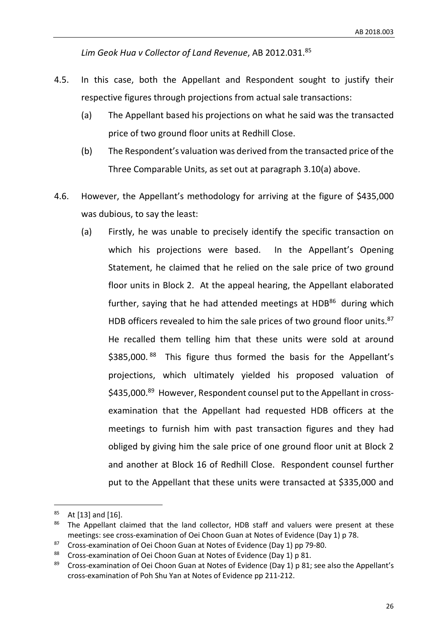Lim Geok Hua v Collector of Land Revenue, AB 2012.031.85

- 4.5. In this case, both the Appellant and Respondent sought to justify their respective figures through projections from actual sale transactions:
	- (a) The Appellant based his projections on what he said was the transacted price of two ground floor units at Redhill Close.
	- (b) The Respondent's valuation was derived from the transacted price of the Three Comparable Units, as set out at paragraph 3.10(a) above.
- 4.6. However, the Appellant's methodology for arriving at the figure of \$435,000 was dubious, to say the least:
	- (a) Firstly, he was unable to precisely identify the specific transaction on which his projections were based. In the Appellant's Opening Statement, he claimed that he relied on the sale price of two ground floor units in Block 2. At the appeal hearing, the Appellant elaborated further, saying that he had attended meetings at  $HDB^{86}$  during which HDB officers revealed to him the sale prices of two ground floor units.<sup>87</sup> He recalled them telling him that these units were sold at around \$385,000.<sup>88</sup> This figure thus formed the basis for the Appellant's projections, which ultimately yielded his proposed valuation of \$435,000.<sup>89</sup> However, Respondent counsel put to the Appellant in crossexamination that the Appellant had requested HDB officers at the meetings to furnish him with past transaction figures and they had obliged by giving him the sale price of one ground floor unit at Block 2 and another at Block 16 of Redhill Close. Respondent counsel further put to the Appellant that these units were transacted at \$335,000 and

 $85$  At [13] and [16].

<sup>&</sup>lt;sup>86</sup> The Appellant claimed that the land collector, HDB staff and valuers were present at these meetings: see cross-examination of Oei Choon Guan at Notes of Evidence (Day 1) p 78.

<sup>87</sup> Cross-examination of Oei Choon Guan at Notes of Evidence (Day 1) pp 79-80.

<sup>&</sup>lt;sup>88</sup> Cross-examination of Oei Choon Guan at Notes of Evidence (Day 1) p 81.<br><sup>89</sup> Cross-examination of Oei Choon Guan at Notes of Evidence (Day 1) p 81<sup>.</sup>

<sup>89</sup> Cross-examination of Oei Choon Guan at Notes of Evidence (Day 1) p 81; see also the Appellant's cross-examination of Poh Shu Yan at Notes of Evidence pp 211-212.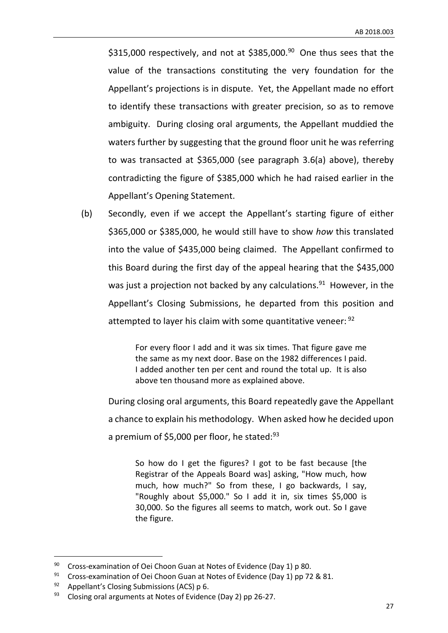\$315,000 respectively, and not at \$385,000.<sup>90</sup> One thus sees that the value of the transactions constituting the very foundation for the Appellant's projections is in dispute. Yet, the Appellant made no effort to identify these transactions with greater precision, so as to remove ambiguity. During closing oral arguments, the Appellant muddied the waters further by suggesting that the ground floor unit he was referring to was transacted at \$365,000 (see paragraph 3.6(a) above), thereby contradicting the figure of \$385,000 which he had raised earlier in the Appellant's Opening Statement.

(b) Secondly, even if we accept the Appellant's starting figure of either \$365,000 or \$385,000, he would still have to show how this translated into the value of \$435,000 being claimed. The Appellant confirmed to this Board during the first day of the appeal hearing that the \$435,000 was just a projection not backed by any calculations. $91$  However, in the Appellant's Closing Submissions, he departed from this position and attempted to layer his claim with some quantitative veneer:  $92$ 

> For every floor I add and it was six times. That figure gave me the same as my next door. Base on the 1982 differences I paid. I added another ten per cent and round the total up. It is also above ten thousand more as explained above.

During closing oral arguments, this Board repeatedly gave the Appellant a chance to explain his methodology. When asked how he decided upon a premium of \$5,000 per floor, he stated: $93$ 

So how do I get the figures? I got to be fast because [the Registrar of the Appeals Board was] asking, "How much, how much, how much?" So from these, I go backwards, I say, "Roughly about \$5,000." So I add it in, six times \$5,000 is 30,000. So the figures all seems to match, work out. So I gave the figure.

<sup>&</sup>lt;sup>90</sup> Cross-examination of Oei Choon Guan at Notes of Evidence (Day 1) p 80.

<sup>&</sup>lt;sup>91</sup> Cross-examination of Oei Choon Guan at Notes of Evidence (Day 1) pp 72 & 81.

 $92$  Appellant's Closing Submissions (ACS) p 6.

<sup>&</sup>lt;sup>93</sup> Closing oral arguments at Notes of Evidence (Day 2) pp 26-27.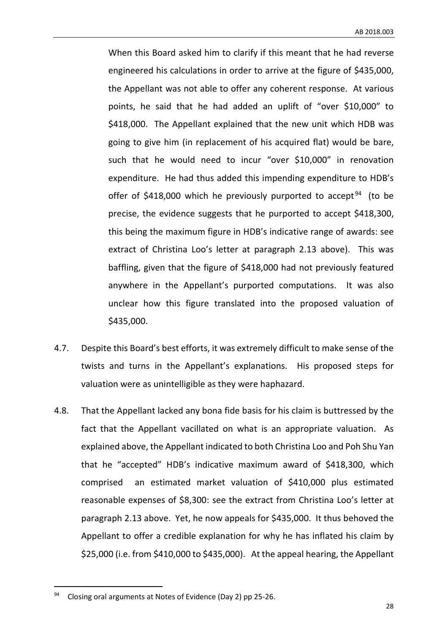When this Board asked him to clarify if this meant that he had reverse engineered his calculations in order to arrive at the figure of \$435,000, the Appellant was not able to offer any coherent response. At various points, he said that he had added an uplift of "over \$10,000" to \$418,000. The Appellant explained that the new unit which HDB was going to give him (in replacement of his acquired flat) would be bare, such that he would need to incur "over \$10,000" in renovation expenditure. He had thus added this impending expenditure to HDB's offer of \$418,000 which he previously purported to accept<sup>94</sup> (to be precise, the evidence suggests that he purported to accept \$418,300, this being the maximum figure in HDB's indicative range of awards: see extract of Christina Loo's letter at paragraph 2.13 above). This was baffling, given that the figure of \$418,000 had not previously featured anywhere in the Appellant's purported computations. It was also unclear how this figure translated into the proposed valuation of \$435,000.

- 4.7. Despite this Board's best efforts, it was extremely difficult to make sense of the twists and turns in the Appellant's explanations. His proposed steps for valuation were as unintelligible as they were haphazard.
- 4.8. That the Appellant lacked any bona fide basis for his claim is buttressed by the fact that the Appellant vacillated on what is an appropriate valuation. As explained above, the Appellant indicated to both Christina Loo and Poh Shu Yan that he "accepted" HDB's indicative maximum award of \$418,300, which comprised an estimated market valuation of \$410,000 plus estimated reasonable expenses of \$8,300: see the extract from Christina Loo's letter at paragraph 2.13 above. Yet, he now appeals for \$435,000. It thus behoved the Appellant to offer a credible explanation for why he has inflated his claim by \$25,000 (i.e. from \$410,000 to \$435,000). At the appeal hearing, the Appellant

<sup>94</sup> Closing oral arguments at Notes of Evidence (Day 2) pp 25-26.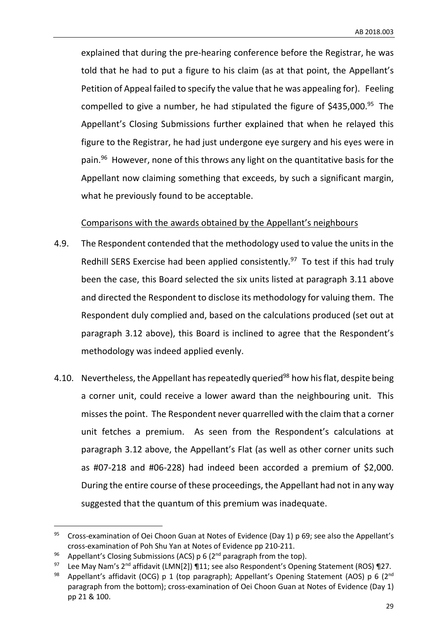explained that during the pre-hearing conference before the Registrar, he was told that he had to put a figure to his claim (as at that point, the Appellant's Petition of Appeal failed to specify the value that he was appealing for). Feeling compelled to give a number, he had stipulated the figure of  $$435,000.^{95}$  The Appellant's Closing Submissions further explained that when he relayed this figure to the Registrar, he had just undergone eye surgery and his eyes were in pain.<sup>96</sup> However, none of this throws any light on the quantitative basis for the Appellant now claiming something that exceeds, by such a significant margin, what he previously found to be acceptable.

#### Comparisons with the awards obtained by the Appellant's neighbours

- 4.9. The Respondent contended that the methodology used to value the units in the Redhill SERS Exercise had been applied consistently.<sup>97</sup> To test if this had truly been the case, this Board selected the six units listed at paragraph 3.11 above and directed the Respondent to disclose its methodology for valuing them. The Respondent duly complied and, based on the calculations produced (set out at paragraph 3.12 above), this Board is inclined to agree that the Respondent's methodology was indeed applied evenly.
- 4.10. Nevertheless, the Appellant has repeatedly queried<sup>98</sup> how his flat, despite being a corner unit, could receive a lower award than the neighbouring unit. This misses the point. The Respondent never quarrelled with the claim that a corner unit fetches a premium. As seen from the Respondent's calculations at paragraph 3.12 above, the Appellant's Flat (as well as other corner units such as #07-218 and #06-228) had indeed been accorded a premium of \$2,000. During the entire course of these proceedings, the Appellant had not in any way suggested that the quantum of this premium was inadequate.

<sup>95</sup> Cross-examination of Oei Choon Guan at Notes of Evidence (Day 1) p 69; see also the Appellant's cross-examination of Poh Shu Yan at Notes of Evidence pp 210-211.

<sup>&</sup>lt;sup>96</sup> Appellant's Closing Submissions (ACS) p 6 ( $2<sup>nd</sup>$  paragraph from the top).

<sup>&</sup>lt;sup>97</sup> Lee May Nam's 2<sup>nd</sup> affidavit (LMN[2]) **[11**; see also Respondent's Opening Statement (ROS) **[27.** 

<sup>&</sup>lt;sup>98</sup> Appellant's affidavit (OCG) p 1 (top paragraph); Appellant's Opening Statement (AOS) p 6 (2<sup>nd</sup> paragraph from the bottom); cross-examination of Oei Choon Guan at Notes of Evidence (Day 1) pp 21 & 100.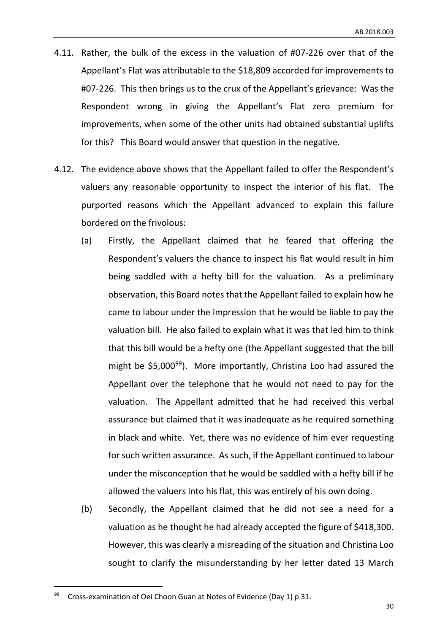- 4.11. Rather, the bulk of the excess in the valuation of #07-226 over that of the Appellant's Flat was attributable to the \$18,809 accorded for improvements to #07-226. This then brings us to the crux of the Appellant's grievance: Was the Respondent wrong in giving the Appellant's Flat zero premium for improvements, when some of the other units had obtained substantial uplifts for this? This Board would answer that question in the negative.
- 4.12. The evidence above shows that the Appellant failed to offer the Respondent's valuers any reasonable opportunity to inspect the interior of his flat. The purported reasons which the Appellant advanced to explain this failure bordered on the frivolous:
	- (a) Firstly, the Appellant claimed that he feared that offering the Respondent's valuers the chance to inspect his flat would result in him being saddled with a hefty bill for the valuation. As a preliminary observation, this Board notes that the Appellant failed to explain how he came to labour under the impression that he would be liable to pay the valuation bill. He also failed to explain what it was that led him to think that this bill would be a hefty one (the Appellant suggested that the bill might be  $$5,000^{99}$ ). More importantly, Christina Loo had assured the Appellant over the telephone that he would not need to pay for the valuation. The Appellant admitted that he had received this verbal assurance but claimed that it was inadequate as he required something in black and white. Yet, there was no evidence of him ever requesting for such written assurance. As such, if the Appellant continued to labour under the misconception that he would be saddled with a hefty bill if he allowed the valuers into his flat, this was entirely of his own doing.
	- (b) Secondly, the Appellant claimed that he did not see a need for a valuation as he thought he had already accepted the figure of \$418,300. However, this was clearly a misreading of the situation and Christina Loo sought to clarify the misunderstanding by her letter dated 13 March

<sup>&</sup>lt;sup>99</sup> Cross-examination of Oei Choon Guan at Notes of Evidence (Day 1) p 31.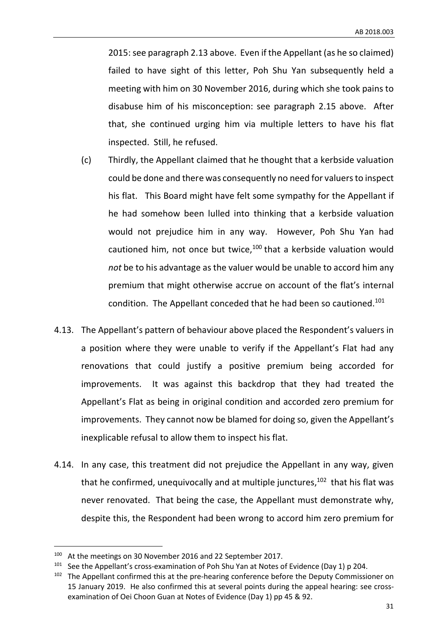2015: see paragraph 2.13 above. Even if the Appellant (as he so claimed) failed to have sight of this letter, Poh Shu Yan subsequently held a meeting with him on 30 November 2016, during which she took pains to disabuse him of his misconception: see paragraph 2.15 above. After that, she continued urging him via multiple letters to have his flat inspected. Still, he refused.

- (c) Thirdly, the Appellant claimed that he thought that a kerbside valuation could be done and there was consequently no need for valuers to inspect his flat. This Board might have felt some sympathy for the Appellant if he had somehow been lulled into thinking that a kerbside valuation would not prejudice him in any way. However, Poh Shu Yan had cautioned him, not once but twice, $100$  that a kerbside valuation would not be to his advantage as the valuer would be unable to accord him any premium that might otherwise accrue on account of the flat's internal condition. The Appellant conceded that he had been so cautioned.<sup>101</sup>
- 4.13. The Appellant's pattern of behaviour above placed the Respondent's valuers in a position where they were unable to verify if the Appellant's Flat had any renovations that could justify a positive premium being accorded for improvements. It was against this backdrop that they had treated the Appellant's Flat as being in original condition and accorded zero premium for improvements. They cannot now be blamed for doing so, given the Appellant's inexplicable refusal to allow them to inspect his flat.
- 4.14. In any case, this treatment did not prejudice the Appellant in any way, given that he confirmed, unequivocally and at multiple junctures,  $102$  that his flat was never renovated. That being the case, the Appellant must demonstrate why, despite this, the Respondent had been wrong to accord him zero premium for

<sup>&</sup>lt;sup>100</sup> At the meetings on 30 November 2016 and 22 September 2017.

 $101$  See the Appellant's cross-examination of Poh Shu Yan at Notes of Evidence (Day 1) p 204.

 $102$  The Appellant confirmed this at the pre-hearing conference before the Deputy Commissioner on 15 January 2019. He also confirmed this at several points during the appeal hearing: see crossexamination of Oei Choon Guan at Notes of Evidence (Day 1) pp 45 & 92.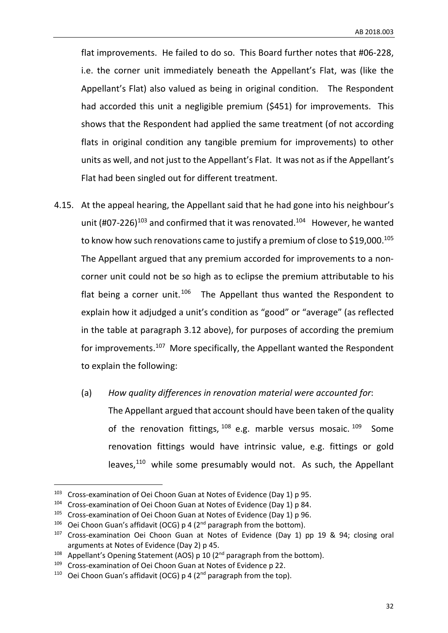flat improvements. He failed to do so. This Board further notes that #06-228, i.e. the corner unit immediately beneath the Appellant's Flat, was (like the Appellant's Flat) also valued as being in original condition. The Respondent had accorded this unit a negligible premium (\$451) for improvements. This shows that the Respondent had applied the same treatment (of not according flats in original condition any tangible premium for improvements) to other units as well, and not just to the Appellant's Flat. It was not as if the Appellant's Flat had been singled out for different treatment.

- 4.15. At the appeal hearing, the Appellant said that he had gone into his neighbour's unit (#07-226)<sup>103</sup> and confirmed that it was renovated.<sup>104</sup> However, he wanted to know how such renovations came to justify a premium of close to \$19,000. $^{105}$ The Appellant argued that any premium accorded for improvements to a noncorner unit could not be so high as to eclipse the premium attributable to his flat being a corner unit.<sup>106</sup> The Appellant thus wanted the Respondent to explain how it adjudged a unit's condition as "good" or "average" (as reflected in the table at paragraph 3.12 above), for purposes of according the premium for improvements.<sup>107</sup> More specifically, the Appellant wanted the Respondent to explain the following:
	- (a) How quality differences in renovation material were accounted for: The Appellant argued that account should have been taken of the quality of the renovation fittings,  $108$  e.g. marble versus mosaic.  $109$  Some renovation fittings would have intrinsic value, e.g. fittings or gold leaves,<sup>110</sup> while some presumably would not. As such, the Appellant

<sup>&</sup>lt;sup>103</sup> Cross-examination of Oei Choon Guan at Notes of Evidence (Day 1) p 95.

<sup>&</sup>lt;sup>104</sup> Cross-examination of Oei Choon Guan at Notes of Evidence (Day 1) p 84.

<sup>&</sup>lt;sup>105</sup> Cross-examination of Oei Choon Guan at Notes of Evidence (Day 1) p 96.

<sup>&</sup>lt;sup>106</sup> Oei Choon Guan's affidavit (OCG) p 4 ( $2<sup>nd</sup>$  paragraph from the bottom).

<sup>&</sup>lt;sup>107</sup> Cross-examination Oei Choon Guan at Notes of Evidence (Day 1) pp 19 & 94; closing oral arguments at Notes of Evidence (Day 2) p 45.

<sup>&</sup>lt;sup>108</sup> Appellant's Opening Statement (AOS) p 10 ( $2<sup>nd</sup>$  paragraph from the bottom).<br><sup>109</sup> Cross-examination of Oei Choon Guan at Notes of Evidence p 22

<sup>109</sup> Cross-examination of Oei Choon Guan at Notes of Evidence p 22.

<sup>&</sup>lt;sup>110</sup> Oei Choon Guan's affidavit (OCG)  $p$  4 ( $2^{nd}$  paragraph from the top).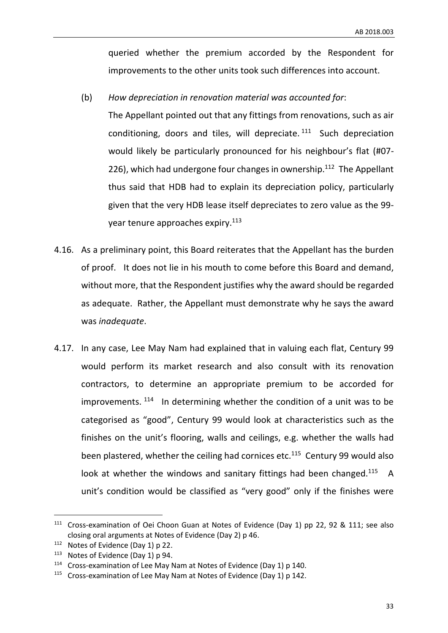queried whether the premium accorded by the Respondent for improvements to the other units took such differences into account.

(b) How depreciation in renovation material was accounted for:

The Appellant pointed out that any fittings from renovations, such as air conditioning, doors and tiles, will depreciate.  $111$  Such depreciation would likely be particularly pronounced for his neighbour's flat (#07- 226), which had undergone four changes in ownership.<sup>112</sup> The Appellant thus said that HDB had to explain its depreciation policy, particularly given that the very HDB lease itself depreciates to zero value as the 99 year tenure approaches expiry.<sup>113</sup>

- 4.16. As a preliminary point, this Board reiterates that the Appellant has the burden of proof. It does not lie in his mouth to come before this Board and demand, without more, that the Respondent justifies why the award should be regarded as adequate. Rather, the Appellant must demonstrate why he says the award was inadequate.
- 4.17. In any case, Lee May Nam had explained that in valuing each flat, Century 99 would perform its market research and also consult with its renovation contractors, to determine an appropriate premium to be accorded for improvements.  $114$  In determining whether the condition of a unit was to be categorised as "good", Century 99 would look at characteristics such as the finishes on the unit's flooring, walls and ceilings, e.g. whether the walls had been plastered, whether the ceiling had cornices etc.<sup>115</sup> Century 99 would also look at whether the windows and sanitary fittings had been changed.<sup>115</sup> A unit's condition would be classified as "very good" only if the finishes were

<sup>&</sup>lt;sup>111</sup> Cross-examination of Oei Choon Guan at Notes of Evidence (Day 1) pp 22, 92 & 111; see also closing oral arguments at Notes of Evidence (Day 2) p 46.

 $112$  Notes of Evidence (Day 1) p 22.

<sup>&</sup>lt;sup>113</sup> Notes of Evidence (Day 1) p 94.<br><sup>114</sup> Cross-examination of Lee May N

Cross-examination of Lee May Nam at Notes of Evidence (Day 1) p 140.

<sup>&</sup>lt;sup>115</sup> Cross-examination of Lee May Nam at Notes of Evidence (Day 1) p 142.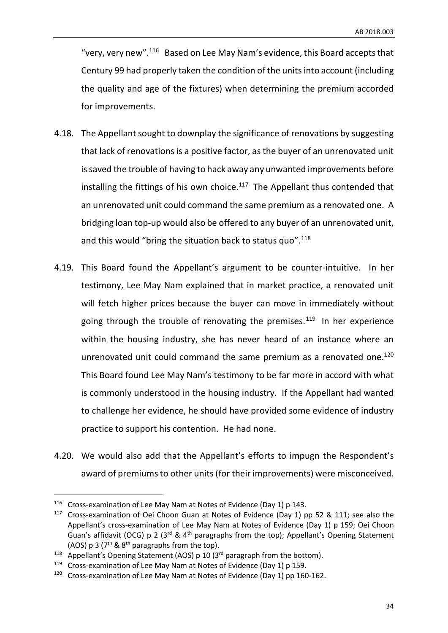"very, very new".<sup>116</sup> Based on Lee May Nam's evidence, this Board accepts that Century 99 had properly taken the condition of the units into account (including the quality and age of the fixtures) when determining the premium accorded for improvements.

- 4.18. The Appellant sought to downplay the significance of renovations by suggesting that lack of renovations is a positive factor, as the buyer of an unrenovated unit is saved the trouble of having to hack away any unwanted improvements before installing the fittings of his own choice. $117$  The Appellant thus contended that an unrenovated unit could command the same premium as a renovated one. A bridging loan top-up would also be offered to any buyer of an unrenovated unit, and this would "bring the situation back to status quo".<sup>118</sup>
- 4.19. This Board found the Appellant's argument to be counter-intuitive. In her testimony, Lee May Nam explained that in market practice, a renovated unit will fetch higher prices because the buyer can move in immediately without going through the trouble of renovating the premises.<sup>119</sup> In her experience within the housing industry, she has never heard of an instance where an unrenovated unit could command the same premium as a renovated one. $120$ This Board found Lee May Nam's testimony to be far more in accord with what is commonly understood in the housing industry. If the Appellant had wanted to challenge her evidence, he should have provided some evidence of industry practice to support his contention. He had none.
- 4.20. We would also add that the Appellant's efforts to impugn the Respondent's award of premiums to other units (for their improvements) were misconceived.

<sup>&</sup>lt;sup>116</sup> Cross-examination of Lee May Nam at Notes of Evidence (Day 1) p 143.

<sup>117</sup> Cross-examination of Oei Choon Guan at Notes of Evidence (Day 1) pp 52 & 111; see also the Appellant's cross-examination of Lee May Nam at Notes of Evidence (Day 1) p 159; Oei Choon Guan's affidavit (OCG) p 2 ( $3<sup>rd</sup>$  &  $4<sup>th</sup>$  paragraphs from the top); Appellant's Opening Statement (AOS) p 3 ( $7<sup>th</sup>$  & 8<sup>th</sup> paragraphs from the top).

<sup>&</sup>lt;sup>118</sup> Appellant's Opening Statement (AOS) p 10 (3<sup>rd</sup> paragraph from the bottom).<br><sup>119</sup> Cross-examination of Lee May Nam at Notes of Evidence (Day 1) n 159

<sup>&</sup>lt;sup>119</sup> Cross-examination of Lee May Nam at Notes of Evidence (Day 1) p 159.<br><sup>120</sup> Cross-examination of Lee May Nam at Notes of Evidence (Day 1) pp 160

<sup>120</sup> Cross-examination of Lee May Nam at Notes of Evidence (Day 1) pp 160-162.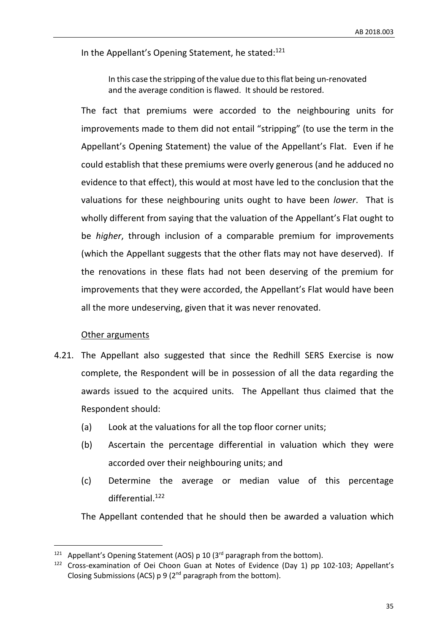In the Appellant's Opening Statement, he stated:<sup>121</sup>

In this case the stripping of the value due to this flat being un-renovated and the average condition is flawed. It should be restored.

The fact that premiums were accorded to the neighbouring units for improvements made to them did not entail "stripping" (to use the term in the Appellant's Opening Statement) the value of the Appellant's Flat. Even if he could establish that these premiums were overly generous (and he adduced no evidence to that effect), this would at most have led to the conclusion that the valuations for these neighbouring units ought to have been lower. That is wholly different from saying that the valuation of the Appellant's Flat ought to be *higher*, through inclusion of a comparable premium for improvements (which the Appellant suggests that the other flats may not have deserved). If the renovations in these flats had not been deserving of the premium for improvements that they were accorded, the Appellant's Flat would have been all the more undeserving, given that it was never renovated.

#### Other arguments

-

- 4.21. The Appellant also suggested that since the Redhill SERS Exercise is now complete, the Respondent will be in possession of all the data regarding the awards issued to the acquired units. The Appellant thus claimed that the Respondent should:
	- (a) Look at the valuations for all the top floor corner units;
	- (b) Ascertain the percentage differential in valuation which they were accorded over their neighbouring units; and
	- (c) Determine the average or median value of this percentage differential.<sup>122</sup>

The Appellant contended that he should then be awarded a valuation which

<sup>&</sup>lt;sup>121</sup> Appellant's Opening Statement (AOS) p 10 (3<sup>rd</sup> paragraph from the bottom).

<sup>&</sup>lt;sup>122</sup> Cross-examination of Oei Choon Guan at Notes of Evidence (Day 1) pp 102-103; Appellant's Closing Submissions (ACS)  $p$  9 (2<sup>nd</sup> paragraph from the bottom).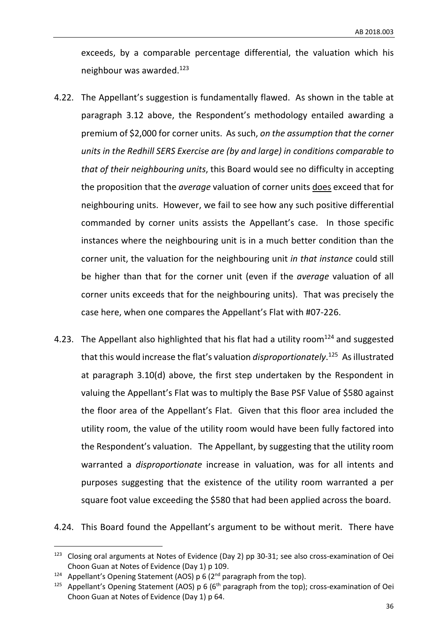exceeds, by a comparable percentage differential, the valuation which his neighbour was awarded.<sup>123</sup>

- 4.22. The Appellant's suggestion is fundamentally flawed. As shown in the table at paragraph 3.12 above, the Respondent's methodology entailed awarding a premium of \$2,000 for corner units. As such, on the assumption that the corner units in the Redhill SERS Exercise are (by and large) in conditions comparable to that of their neighbouring units, this Board would see no difficulty in accepting the proposition that the average valuation of corner units does exceed that for neighbouring units. However, we fail to see how any such positive differential commanded by corner units assists the Appellant's case. In those specific instances where the neighbouring unit is in a much better condition than the corner unit, the valuation for the neighbouring unit in that instance could still be higher than that for the corner unit (even if the average valuation of all corner units exceeds that for the neighbouring units). That was precisely the case here, when one compares the Appellant's Flat with #07-226.
- 4.23. The Appellant also highlighted that his flat had a utility room<sup>124</sup> and suggested that this would increase the flat's valuation *disproportionately*.<sup>125</sup> As illustrated at paragraph 3.10(d) above, the first step undertaken by the Respondent in valuing the Appellant's Flat was to multiply the Base PSF Value of \$580 against the floor area of the Appellant's Flat. Given that this floor area included the utility room, the value of the utility room would have been fully factored into the Respondent's valuation. The Appellant, by suggesting that the utility room warranted a disproportionate increase in valuation, was for all intents and purposes suggesting that the existence of the utility room warranted a per square foot value exceeding the \$580 that had been applied across the board.

4.24. This Board found the Appellant's argument to be without merit. There have

 $123$  Closing oral arguments at Notes of Evidence (Day 2) pp 30-31; see also cross-examination of Oei Choon Guan at Notes of Evidence (Day 1) p 109.

<sup>&</sup>lt;sup>124</sup> Appellant's Opening Statement (AOS) p 6 ( $2<sup>nd</sup>$  paragraph from the top).

<sup>&</sup>lt;sup>125</sup> Appellant's Opening Statement (AOS) p 6 (6<sup>th</sup> paragraph from the top); cross-examination of Oei Choon Guan at Notes of Evidence (Day 1) p 64.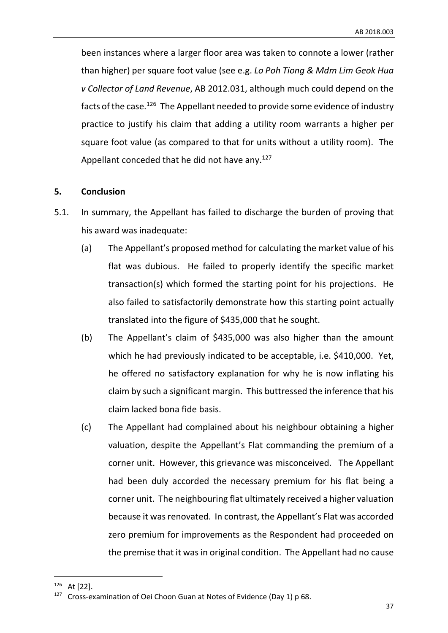been instances where a larger floor area was taken to connote a lower (rather than higher) per square foot value (see e.g. Lo Poh Tiong & Mdm Lim Geok Hua v Collector of Land Revenue, AB 2012.031, although much could depend on the facts of the case.<sup>126</sup> The Appellant needed to provide some evidence of industry practice to justify his claim that adding a utility room warrants a higher per square foot value (as compared to that for units without a utility room). The Appellant conceded that he did not have any.<sup>127</sup>

#### 5. Conclusion

- 5.1. In summary, the Appellant has failed to discharge the burden of proving that his award was inadequate:
	- (a) The Appellant's proposed method for calculating the market value of his flat was dubious. He failed to properly identify the specific market transaction(s) which formed the starting point for his projections. He also failed to satisfactorily demonstrate how this starting point actually translated into the figure of \$435,000 that he sought.
	- (b) The Appellant's claim of \$435,000 was also higher than the amount which he had previously indicated to be acceptable, i.e. \$410,000. Yet, he offered no satisfactory explanation for why he is now inflating his claim by such a significant margin. This buttressed the inference that his claim lacked bona fide basis.
	- (c) The Appellant had complained about his neighbour obtaining a higher valuation, despite the Appellant's Flat commanding the premium of a corner unit. However, this grievance was misconceived. The Appellant had been duly accorded the necessary premium for his flat being a corner unit. The neighbouring flat ultimately received a higher valuation because it was renovated. In contrast, the Appellant's Flat was accorded zero premium for improvements as the Respondent had proceeded on the premise that it was in original condition. The Appellant had no cause

<sup>126</sup> At [22].

<sup>127</sup> Cross-examination of Oei Choon Guan at Notes of Evidence (Day 1) p 68.